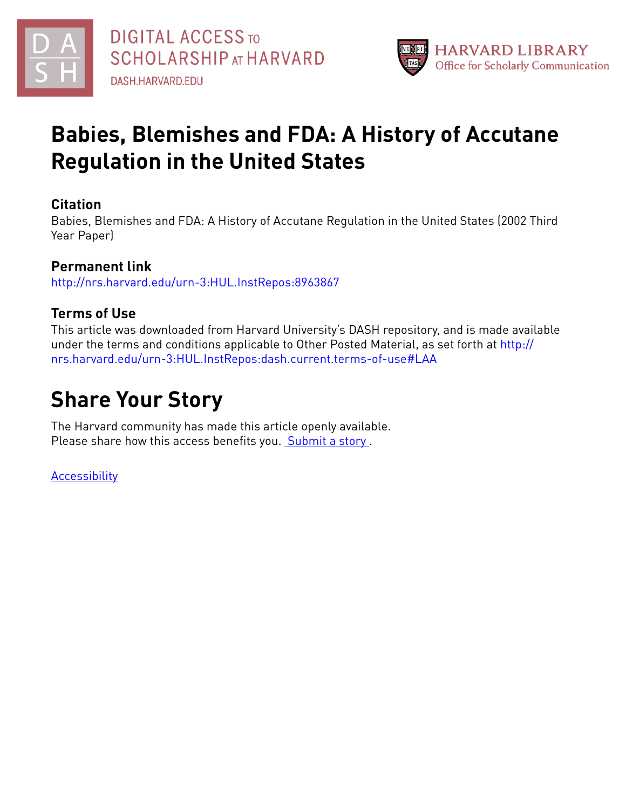



# **Babies, Blemishes and FDA: A History of Accutane Regulation in the United States**

## **Citation**

Babies, Blemishes and FDA: A History of Accutane Regulation in the United States (2002 Third Year Paper)

# **Permanent link**

<http://nrs.harvard.edu/urn-3:HUL.InstRepos:8963867>

# **Terms of Use**

This article was downloaded from Harvard University's DASH repository, and is made available under the terms and conditions applicable to Other Posted Material, as set forth at [http://](http://nrs.harvard.edu/urn-3:HUL.InstRepos:dash.current.terms-of-use#LAA) [nrs.harvard.edu/urn-3:HUL.InstRepos:dash.current.terms-of-use#LAA](http://nrs.harvard.edu/urn-3:HUL.InstRepos:dash.current.terms-of-use#LAA)

# **Share Your Story**

The Harvard community has made this article openly available. Please share how this access benefits you. [Submit](http://osc.hul.harvard.edu/dash/open-access-feedback?handle=&title=Babies,%20Blemishes%20and%20FDA:%20A%20History%20of%20Accutane%20Regulation%20in%20the%20United%20States&community=1/7&collection=1/2788313&owningCollection1/2788313&harvardAuthors=fdbd8e58e816f58e66fd67b4c7ec8231&department) a story .

[Accessibility](https://dash.harvard.edu/pages/accessibility)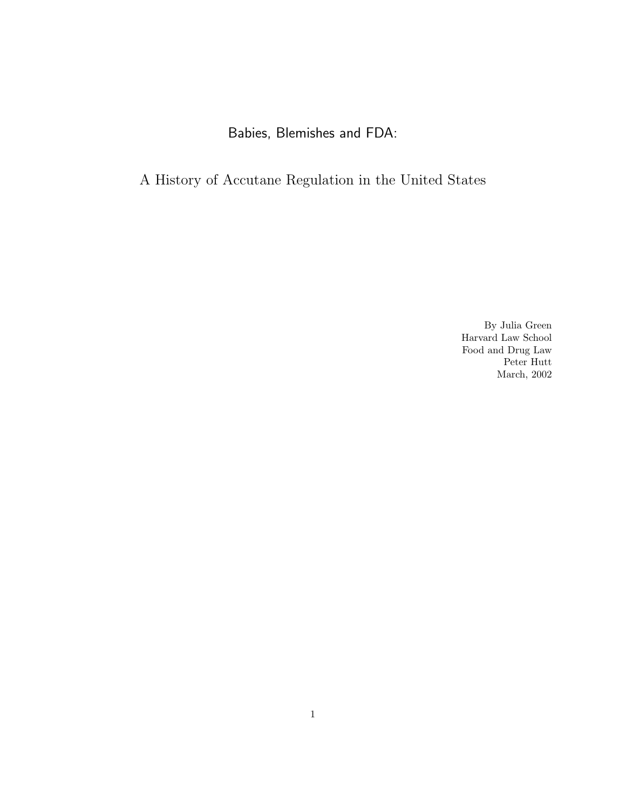# Babies, Blemishes and FDA:

# A History of Accutane Regulation in the United States

By Julia Green Harvard Law School Food and Drug Law Peter Hutt March, 2002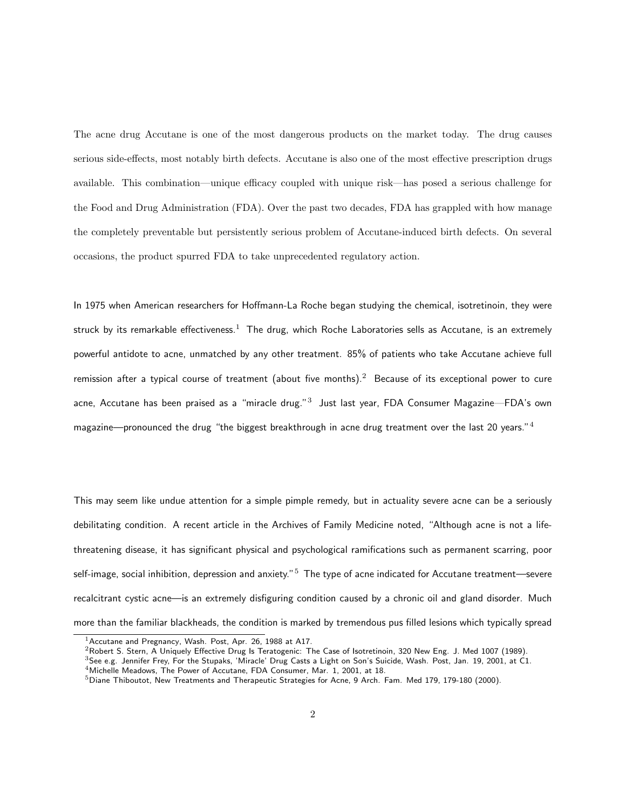The acne drug Accutane is one of the most dangerous products on the market today. The drug causes serious side-effects, most notably birth defects. Accutane is also one of the most effective prescription drugs available. This combination—unique efficacy coupled with unique risk—has posed a serious challenge for the Food and Drug Administration (FDA). Over the past two decades, FDA has grappled with how manage the completely preventable but persistently serious problem of Accutane-induced birth defects. On several occasions, the product spurred FDA to take unprecedented regulatory action.

In 1975 when American researchers for Hoffmann-La Roche began studying the chemical, isotretinoin, they were struck by its remarkable effectiveness.<sup>1</sup> The drug, which Roche Laboratories sells as Accutane, is an extremely powerful antidote to acne, unmatched by any other treatment. 85% of patients who take Accutane achieve full remission after a typical course of treatment (about five months).<sup>2</sup> Because of its exceptional power to cure acne, Accutane has been praised as a "miracle drug." $^3\,$  Just last year, FDA Consumer Magazine—FDA's own magazine—pronounced the drug "the biggest breakthrough in acne drug treatment over the last 20 years."<sup>4</sup>

This may seem like undue attention for a simple pimple remedy, but in actuality severe acne can be a seriously debilitating condition. A recent article in the Archives of Family Medicine noted, "Although acne is not a lifethreatening disease, it has significant physical and psychological ramifications such as permanent scarring, poor self-image, social inhibition, depression and anxiety."<sup>5</sup> The type of acne indicated for Accutane treatment—severe recalcitrant cystic acne—is an extremely disfiguring condition caused by a chronic oil and gland disorder. Much more than the familiar blackheads, the condition is marked by tremendous pus filled lesions which typically spread

 $1$ Accutane and Pregnancy, Wash. Post, Apr. 26, 1988 at A17.

<sup>&</sup>lt;sup>2</sup>Robert S. Stern, A Uniquely Effective Drug Is Teratogenic: The Case of Isotretinoin, 320 New Eng. J. Med 1007 (1989).

<sup>3</sup>See e.g. Jennifer Frey, For the Stupaks, 'Miracle' Drug Casts a Light on Son's Suicide, Wash. Post, Jan. 19, 2001, at C1.

<sup>4</sup>Michelle Meadows, The Power of Accutane, FDA Consumer, Mar. 1, 2001, at 18.

 $5$ Diane Thiboutot, New Treatments and Therapeutic Strategies for Acne, 9 Arch. Fam. Med 179, 179-180 (2000).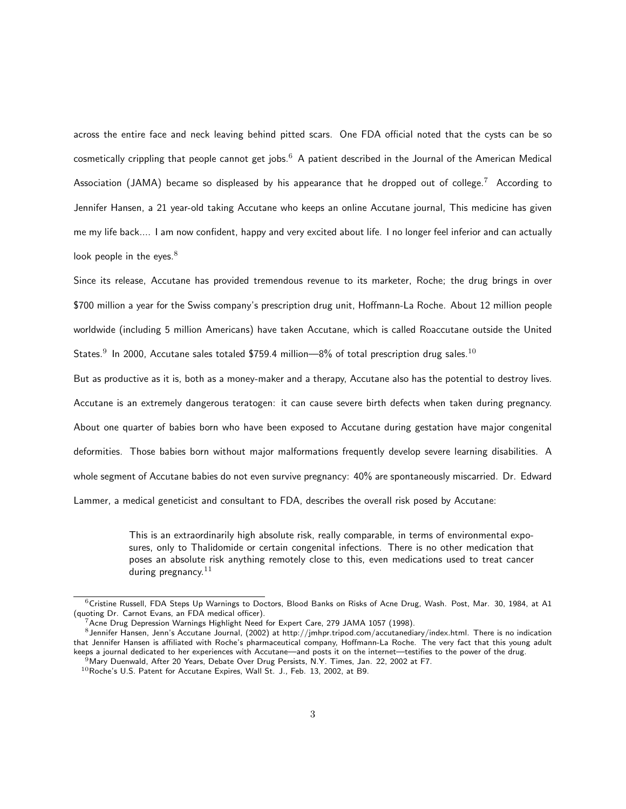across the entire face and neck leaving behind pitted scars. One FDA official noted that the cysts can be so cosmetically crippling that people cannot get jobs.<sup>6</sup> A patient described in the Journal of the American Medical Association (JAMA) became so displeased by his appearance that he dropped out of college.<sup>7</sup> According to Jennifer Hansen, a 21 year-old taking Accutane who keeps an online Accutane journal, This medicine has given me my life back.... I am now confident, happy and very excited about life. I no longer feel inferior and can actually look people in the eyes. $8$ 

Since its release, Accutane has provided tremendous revenue to its marketer, Roche; the drug brings in over \$700 million a year for the Swiss company's prescription drug unit, Hoffmann-La Roche. About 12 million people worldwide (including 5 million Americans) have taken Accutane, which is called Roaccutane outside the United States. $^9$  In 2000, Accutane sales totaled \$759.4 million—8% of total prescription drug sales. $^{10}$ 

But as productive as it is, both as a money-maker and a therapy, Accutane also has the potential to destroy lives. Accutane is an extremely dangerous teratogen: it can cause severe birth defects when taken during pregnancy. About one quarter of babies born who have been exposed to Accutane during gestation have major congenital deformities. Those babies born without major malformations frequently develop severe learning disabilities. A whole segment of Accutane babies do not even survive pregnancy: 40% are spontaneously miscarried. Dr. Edward Lammer, a medical geneticist and consultant to FDA, describes the overall risk posed by Accutane:

> This is an extraordinarily high absolute risk, really comparable, in terms of environmental exposures, only to Thalidomide or certain congenital infections. There is no other medication that poses an absolute risk anything remotely close to this, even medications used to treat cancer during pregnancy. $11$

 $6$ Cristine Russell, FDA Steps Up Warnings to Doctors, Blood Banks on Risks of Acne Drug, Wash. Post, Mar. 30, 1984, at A1 (quoting Dr. Carnot Evans, an FDA medical officer).

<sup>7</sup>Acne Drug Depression Warnings Highlight Need for Expert Care, 279 JAMA 1057 (1998).

 $^8$ Jennifer Hansen, Jenn's Accutane Journal, (2002) at http://jmhpr.tripod.com/accutanediary/index.html. There is no indication that Jennifer Hansen is affiliated with Roche's pharmaceutical company, Hoffmann-La Roche. The very fact that this young adult keeps a journal dedicated to her experiences with Accutane—and posts it on the internet—testifies to the power of the drug. <sup>9</sup>Mary Duenwald, After 20 Years, Debate Over Drug Persists, N.Y. Times, Jan. 22, 2002 at F7.

 $10$ Roche's U.S. Patent for Accutane Expires, Wall St. J., Feb. 13, 2002, at B9.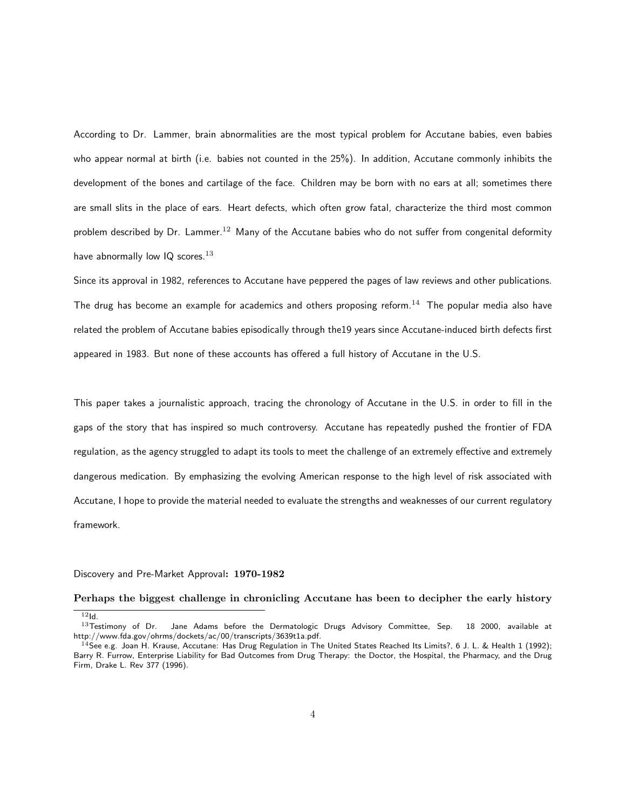According to Dr. Lammer, brain abnormalities are the most typical problem for Accutane babies, even babies who appear normal at birth (i.e. babies not counted in the 25%). In addition, Accutane commonly inhibits the development of the bones and cartilage of the face. Children may be born with no ears at all; sometimes there are small slits in the place of ears. Heart defects, which often grow fatal, characterize the third most common problem described by Dr. Lammer.<sup>12</sup> Many of the Accutane babies who do not suffer from congenital deformity have abnormally low  $IQ$  scores.<sup>13</sup>

Since its approval in 1982, references to Accutane have peppered the pages of law reviews and other publications. The drug has become an example for academics and others proposing reform.<sup>14</sup> The popular media also have related the problem of Accutane babies episodically through the19 years since Accutane-induced birth defects first appeared in 1983. But none of these accounts has offered a full history of Accutane in the U.S.

This paper takes a journalistic approach, tracing the chronology of Accutane in the U.S. in order to fill in the gaps of the story that has inspired so much controversy. Accutane has repeatedly pushed the frontier of FDA regulation, as the agency struggled to adapt its tools to meet the challenge of an extremely effective and extremely dangerous medication. By emphasizing the evolving American response to the high level of risk associated with Accutane, I hope to provide the material needed to evaluate the strengths and weaknesses of our current regulatory framework.

#### Discovery and Pre-Market Approval: 1970-1982

Perhaps the biggest challenge in chronicling Accutane has been to decipher the early history

 $\overline{\phantom{a}12}$ Id.<br> $\overline{\phantom{a}13}$ Testimony of Dr. Jane Adams before the Dermatologic Drugs Advisory Committee, Sep. 18 2000, available at http://www.fda.gov/ohrms/dockets/ac/00/transcripts/3639t1a.pdf.

<sup>&</sup>lt;sup>14</sup>See e.g. Joan H. Krause, Accutane: Has Drug Regulation in The United States Reached Its Limits?, 6 J. L. & Health 1 (1992); Barry R. Furrow, Enterprise Liability for Bad Outcomes from Drug Therapy: the Doctor, the Hospital, the Pharmacy, and the Drug Firm, Drake L. Rev 377 (1996).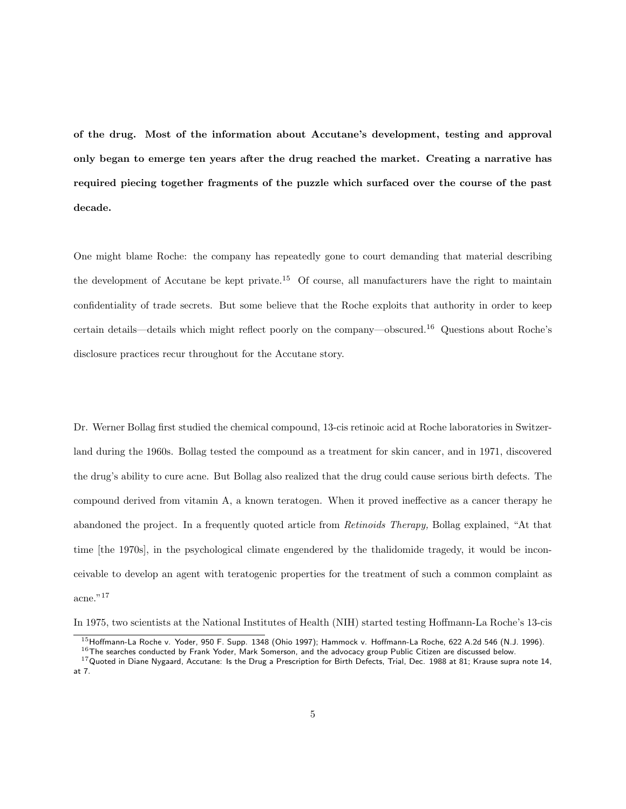of the drug. Most of the information about Accutane's development, testing and approval only began to emerge ten years after the drug reached the market. Creating a narrative has required piecing together fragments of the puzzle which surfaced over the course of the past decade.

One might blame Roche: the company has repeatedly gone to court demanding that material describing the development of Accutane be kept private.<sup>15</sup> Of course, all manufacturers have the right to maintain confidentiality of trade secrets. But some believe that the Roche exploits that authority in order to keep certain details—details which might reflect poorly on the company—obscured.<sup>16</sup> Questions about Roche's disclosure practices recur throughout for the Accutane story.

Dr. Werner Bollag first studied the chemical compound, 13-cis retinoic acid at Roche laboratories in Switzerland during the 1960s. Bollag tested the compound as a treatment for skin cancer, and in 1971, discovered the drug's ability to cure acne. But Bollag also realized that the drug could cause serious birth defects. The compound derived from vitamin A, a known teratogen. When it proved ineffective as a cancer therapy he abandoned the project. In a frequently quoted article from Retinoids Therapy, Bollag explained, "At that time [the 1970s], in the psychological climate engendered by the thalidomide tragedy, it would be inconceivable to develop an agent with teratogenic properties for the treatment of such a common complaint as acne." $17$ 

In 1975, two scientists at the National Institutes of Health (NIH) started testing Hoffmann-La Roche's 13-cis

<sup>&</sup>lt;sup>15</sup>Hoffmann-La Roche v. Yoder, 950 F. Supp. 1348 (Ohio 1997); Hammock v. Hoffmann-La Roche, 622 A.2d 546 (N.J. 1996).  $^{16}$ The searches conducted by Frank Yoder, Mark Somerson, and the advocacy group Public Citizen are discussed below.

 $17$ Quoted in Diane Nygaard, Accutane: Is the Drug a Prescription for Birth Defects, Trial, Dec. 1988 at 81; Krause supra note 14, at 7.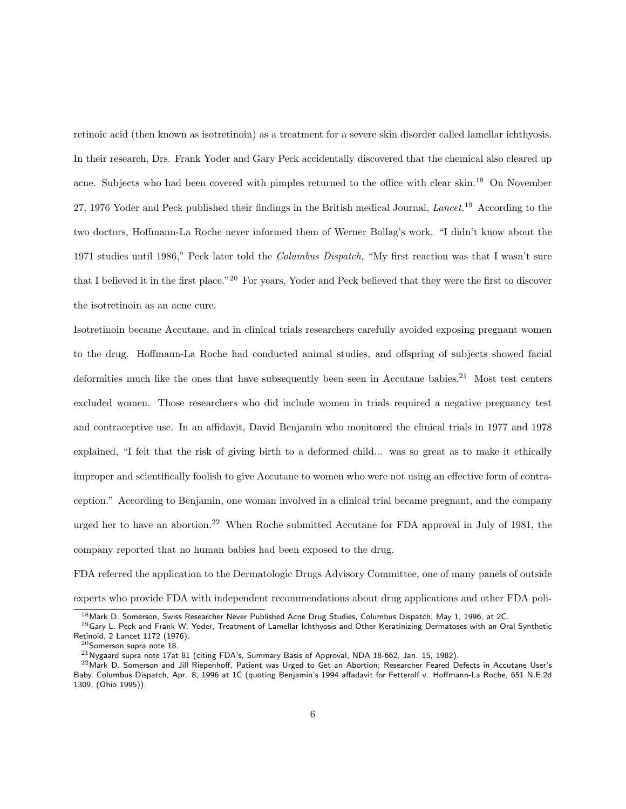retinoic acid (then known as isotretinoin) as a treatment for a severe skin disorder called lamellar ichthyosis. In their research, Drs. Frank Yoder and Gary Peck accidentally discovered that the chemical also cleared up acne. Subjects who had been covered with pimples returned to the office with clear skin.<sup>18</sup> On November 27, 1976 Yoder and Peck published their findings in the British medical Journal, Lancet.<sup>19</sup> According to the two doctors, Hoffmann-La Roche never informed them of Werner Bollag's work. "I didn't know about the 1971 studies until 1986," Peck later told the Columbus Dispatch, "My first reaction was that I wasn't sure that I believed it in the first place."<sup>20</sup> For years, Yoder and Peck believed that they were the first to discover the isotretinoin as an acne cure.

Isotretinoin became Accutane, and in clinical trials researchers carefully avoided exposing pregnant women to the drug. Hoffmann-La Roche had conducted animal studies, and offspring of subjects showed facial deformities much like the ones that have subsequently been seen in Accutane babies.<sup>21</sup> Most test centers excluded women. Those researchers who did include women in trials required a negative pregnancy test and contraceptive use. In an affidavit, David Benjamin who monitored the clinical trials in 1977 and 1978 explained, "I felt that the risk of giving birth to a deformed child... was so great as to make it ethically improper and scientifically foolish to give Accutane to women who were not using an effective form of contraception." According to Benjamin, one woman involved in a clinical trial became pregnant, and the company urged her to have an abortion.<sup>22</sup> When Roche submitted Accutane for FDA approval in July of 1981, the company reported that no human babies had been exposed to the drug.

FDA referred the application to the Dermatologic Drugs Advisory Committee, one of many panels of outside experts who provide FDA with independent recommendations about drug applications and other FDA poli-

<sup>&</sup>lt;sup>18</sup> Mark D. Somerson, Swiss Researcher Never Published Acne Drug Studies, Columbus Dispatch, May 1, 1996, at 2C.

<sup>&</sup>lt;sup>19</sup>Gary L. Peck and Frank W. Yoder, Treatment of Lamellar Ichthyosis and Other Keratinizing Dermatoses with an Oral Synthetic Retinoid, 2 Lancet 1172 (1976).

 $^{20}$ Somerson supra note 18.

 $^{21}$  Nygaard supra note 17at 81 (citing FDA's, Summary Basis of Approval, NDA 18-662, Jan. 15, 1982).

 $22$ Mark D. Somerson and Jill Riepenhoff, Patient was Urged to Get an Abortion; Researcher Feared Defects in Accutane User's Baby, Columbus Dispatch, Apr. 8, 1996 at 1C (quoting Benjamin's 1994 affadavit for Fetterolf v. Hoffmann-La Roche, 651 N.E.2d 1309, (Ohio 1995)).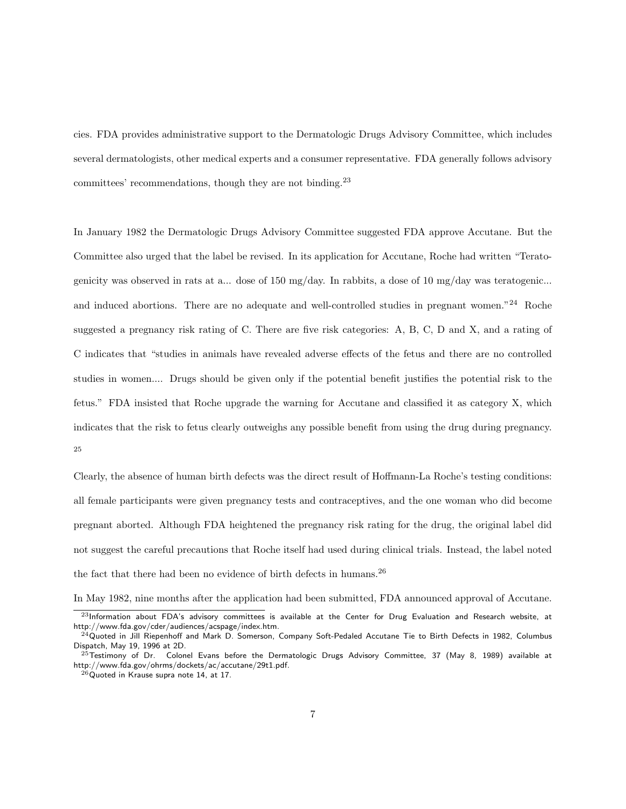cies. FDA provides administrative support to the Dermatologic Drugs Advisory Committee, which includes several dermatologists, other medical experts and a consumer representative. FDA generally follows advisory committees' recommendations, though they are not binding.<sup>23</sup>

In January 1982 the Dermatologic Drugs Advisory Committee suggested FDA approve Accutane. But the Committee also urged that the label be revised. In its application for Accutane, Roche had written "Teratogenicity was observed in rats at a... dose of 150 mg/day. In rabbits, a dose of 10 mg/day was teratogenic... and induced abortions. There are no adequate and well-controlled studies in pregnant women."<sup>24</sup> Roche suggested a pregnancy risk rating of C. There are five risk categories: A, B, C, D and X, and a rating of C indicates that "studies in animals have revealed adverse effects of the fetus and there are no controlled studies in women.... Drugs should be given only if the potential benefit justifies the potential risk to the fetus." FDA insisted that Roche upgrade the warning for Accutane and classified it as category X, which indicates that the risk to fetus clearly outweighs any possible benefit from using the drug during pregnancy. 25

Clearly, the absence of human birth defects was the direct result of Hoffmann-La Roche's testing conditions: all female participants were given pregnancy tests and contraceptives, and the one woman who did become pregnant aborted. Although FDA heightened the pregnancy risk rating for the drug, the original label did not suggest the careful precautions that Roche itself had used during clinical trials. Instead, the label noted the fact that there had been no evidence of birth defects in humans.<sup>26</sup>

In May 1982, nine months after the application had been submitted, FDA announced approval of Accutane.

 $^{23}$ Information about FDA's advisory committees is available at the Center for Drug Evaluation and Research website, at http://www.fda.gov/cder/audiences/acspage/index.htm.

<sup>24</sup>Quoted in Jill Riepenhoff and Mark D. Somerson, Company Soft-Pedaled Accutane Tie to Birth Defects in 1982, Columbus Dispatch, May 19, 1996 at 2D.

 $^{25}$ Testimony of Dr. Colonel Evans before the Dermatologic Drugs Advisory Committee, 37 (May 8, 1989) available at http://www.fda.gov/ohrms/dockets/ac/accutane/29t1.pdf.

 $^{26}$ Quoted in Krause supra note 14, at 17.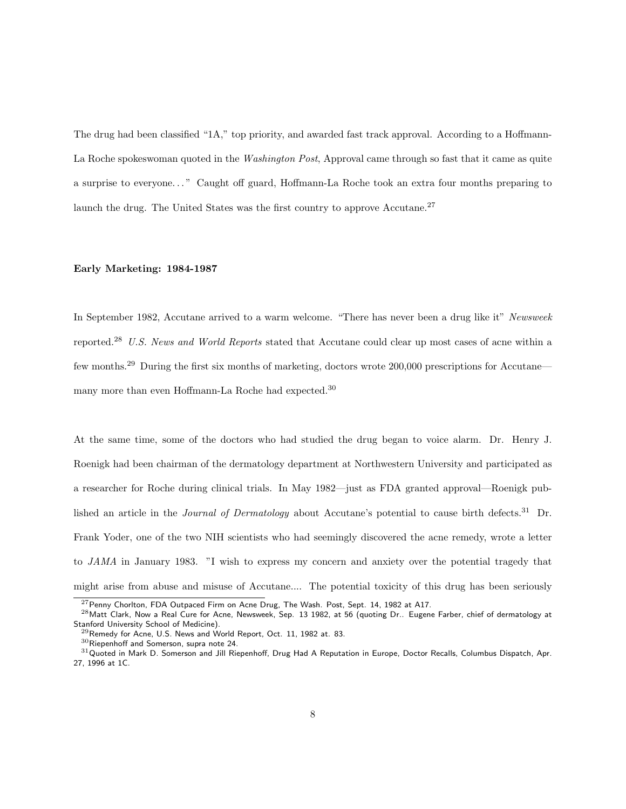The drug had been classified "1A," top priority, and awarded fast track approval. According to a Hoffmann-La Roche spokeswoman quoted in the *Washington Post*, Approval came through so fast that it came as quite a surprise to everyone. . . " Caught off guard, Hoffmann-La Roche took an extra four months preparing to launch the drug. The United States was the first country to approve Accutane.<sup>27</sup>

#### Early Marketing: 1984-1987

In September 1982, Accutane arrived to a warm welcome. "There has never been a drug like it" Newsweek reported.<sup>28</sup> U.S. News and World Reports stated that Accutane could clear up most cases of acne within a few months.<sup>29</sup> During the first six months of marketing, doctors wrote 200,000 prescriptions for Accutane many more than even Hoffmann-La Roche had expected.<sup>30</sup>

At the same time, some of the doctors who had studied the drug began to voice alarm. Dr. Henry J. Roenigk had been chairman of the dermatology department at Northwestern University and participated as a researcher for Roche during clinical trials. In May 1982—just as FDA granted approval—Roenigk published an article in the *Journal of Dermatology* about Accutane's potential to cause birth defects.<sup>31</sup> Dr. Frank Yoder, one of the two NIH scientists who had seemingly discovered the acne remedy, wrote a letter to JAMA in January 1983. "I wish to express my concern and anxiety over the potential tragedy that might arise from abuse and misuse of Accutane.... The potential toxicity of this drug has been seriously

 $^{27}$ Penny Chorlton, FDA Outpaced Firm on Acne Drug, The Wash. Post, Sept. 14, 1982 at A17.

<sup>&</sup>lt;sup>28</sup> Matt Clark, Now a Real Cure for Acne, Newsweek, Sep. 13 1982, at 56 (quoting Dr.. Eugene Farber, chief of dermatology at Stanford University School of Medicine).

 $^{29}$ Remedy for Acne, U.S. News and World Report, Oct. 11, 1982 at. 83.

 $30$ Riepenhoff and Somerson, supra note 24.

 $31$ Quoted in Mark D. Somerson and Jill Riepenhoff, Drug Had A Reputation in Europe, Doctor Recalls, Columbus Dispatch, Apr. 27, 1996 at 1C.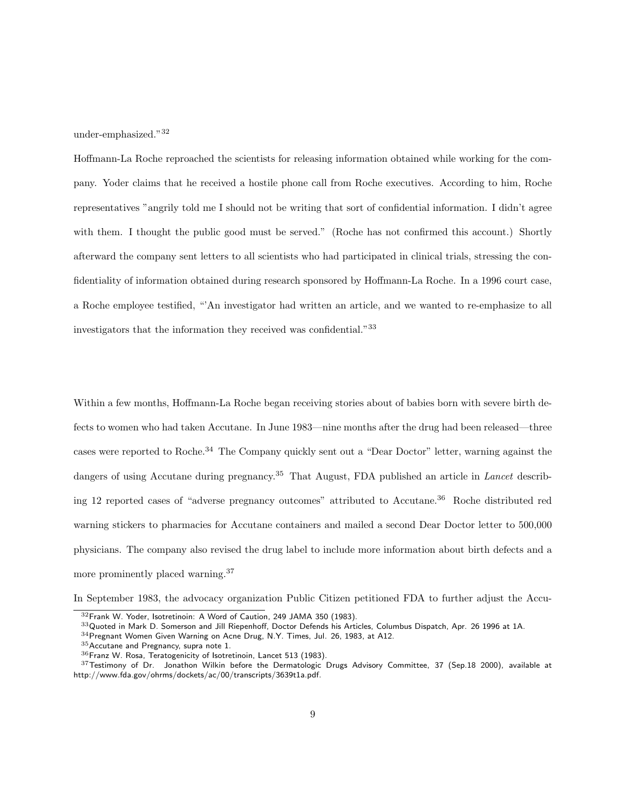under-emphasized."<sup>32</sup>

Hoffmann-La Roche reproached the scientists for releasing information obtained while working for the company. Yoder claims that he received a hostile phone call from Roche executives. According to him, Roche representatives "angrily told me I should not be writing that sort of confidential information. I didn't agree with them. I thought the public good must be served." (Roche has not confirmed this account.) Shortly afterward the company sent letters to all scientists who had participated in clinical trials, stressing the confidentiality of information obtained during research sponsored by Hoffmann-La Roche. In a 1996 court case, a Roche employee testified, "'An investigator had written an article, and we wanted to re-emphasize to all investigators that the information they received was confidential."<sup>33</sup>

Within a few months, Hoffmann-La Roche began receiving stories about of babies born with severe birth defects to women who had taken Accutane. In June 1983—nine months after the drug had been released—three cases were reported to Roche.<sup>34</sup> The Company quickly sent out a "Dear Doctor" letter, warning against the dangers of using Accutane during pregnancy.<sup>35</sup> That August, FDA published an article in *Lancet* describing 12 reported cases of "adverse pregnancy outcomes" attributed to Accutane.<sup>36</sup> Roche distributed red warning stickers to pharmacies for Accutane containers and mailed a second Dear Doctor letter to 500,000 physicians. The company also revised the drug label to include more information about birth defects and a more prominently placed warning.<sup>37</sup>

In September 1983, the advocacy organization Public Citizen petitioned FDA to further adjust the Accu-

<sup>32</sup>Frank W. Yoder, Isotretinoin: A Word of Caution, 249 JAMA 350 (1983).

 $33$ Quoted in Mark D. Somerson and Jill Riepenhoff, Doctor Defends his Articles, Columbus Dispatch, Apr. 26 1996 at 1A.

<sup>34</sup>Pregnant Women Given Warning on Acne Drug, N.Y. Times, Jul. 26, 1983, at A12.

<sup>35</sup>Accutane and Pregnancy, supra note 1.

<sup>36</sup>Franz W. Rosa, Teratogenicity of Isotretinoin, Lancet 513 (1983).

 $37$ Testimony of Dr. Jonathon Wilkin before the Dermatologic Drugs Advisory Committee, 37 (Sep.18 2000), available at http://www.fda.gov/ohrms/dockets/ac/00/transcripts/3639t1a.pdf.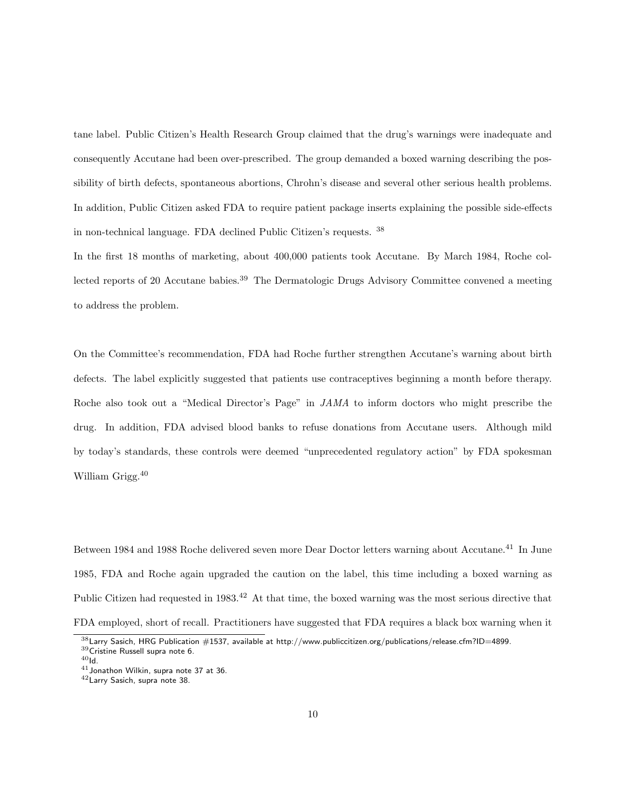tane label. Public Citizen's Health Research Group claimed that the drug's warnings were inadequate and consequently Accutane had been over-prescribed. The group demanded a boxed warning describing the possibility of birth defects, spontaneous abortions, Chrohn's disease and several other serious health problems. In addition, Public Citizen asked FDA to require patient package inserts explaining the possible side-effects in non-technical language. FDA declined Public Citizen's requests. <sup>38</sup>

In the first 18 months of marketing, about 400,000 patients took Accutane. By March 1984, Roche collected reports of 20 Accutane babies.<sup>39</sup> The Dermatologic Drugs Advisory Committee convened a meeting to address the problem.

On the Committee's recommendation, FDA had Roche further strengthen Accutane's warning about birth defects. The label explicitly suggested that patients use contraceptives beginning a month before therapy. Roche also took out a "Medical Director's Page" in JAMA to inform doctors who might prescribe the drug. In addition, FDA advised blood banks to refuse donations from Accutane users. Although mild by today's standards, these controls were deemed "unprecedented regulatory action" by FDA spokesman William Grigg.<sup>40</sup>

Between 1984 and 1988 Roche delivered seven more Dear Doctor letters warning about Accutane.<sup>41</sup> In June 1985, FDA and Roche again upgraded the caution on the label, this time including a boxed warning as Public Citizen had requested in 1983.<sup>42</sup> At that time, the boxed warning was the most serious directive that FDA employed, short of recall. Practitioners have suggested that FDA requires a black box warning when it

 $^{38}$ Larry Sasich, HRG Publication  $\#1537$ , available at http://www.publiccitizen.org/publications/release.cfm?ID=4899. <sup>39</sup>Cristine Russell supra note 6.

 $40$ Id.

<sup>41</sup>Jonathon Wilkin, supra note 37 at 36.

<sup>42</sup>Larry Sasich, supra note 38.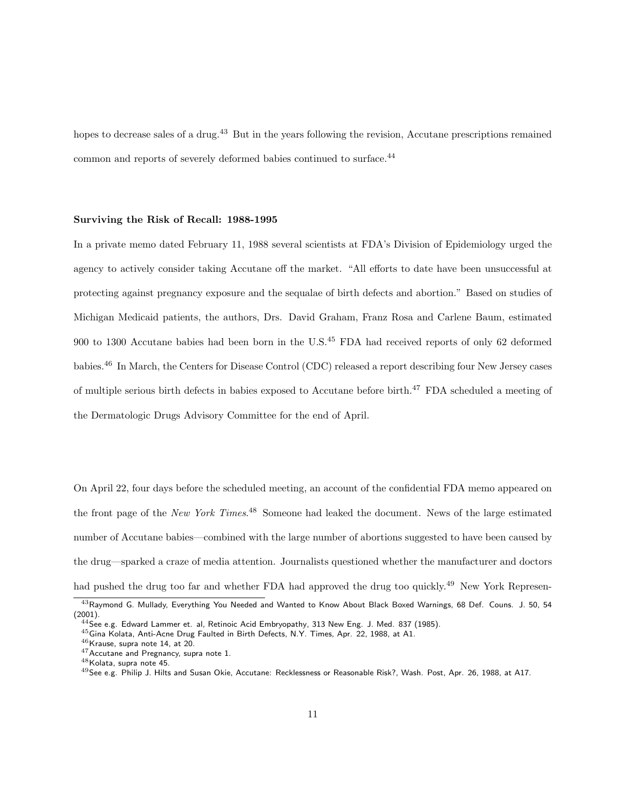hopes to decrease sales of a drug.<sup>43</sup> But in the years following the revision, Accutane prescriptions remained common and reports of severely deformed babies continued to surface.<sup>44</sup>

### Surviving the Risk of Recall: 1988-1995

In a private memo dated February 11, 1988 several scientists at FDA's Division of Epidemiology urged the agency to actively consider taking Accutane off the market. "All efforts to date have been unsuccessful at protecting against pregnancy exposure and the sequalae of birth defects and abortion." Based on studies of Michigan Medicaid patients, the authors, Drs. David Graham, Franz Rosa and Carlene Baum, estimated 900 to 1300 Accutane babies had been born in the U.S.<sup>45</sup> FDA had received reports of only 62 deformed babies.<sup>46</sup> In March, the Centers for Disease Control (CDC) released a report describing four New Jersey cases of multiple serious birth defects in babies exposed to Accutane before birth.<sup>47</sup> FDA scheduled a meeting of the Dermatologic Drugs Advisory Committee for the end of April.

On April 22, four days before the scheduled meeting, an account of the confidential FDA memo appeared on the front page of the New York Times.<sup>48</sup> Someone had leaked the document. News of the large estimated number of Accutane babies—combined with the large number of abortions suggested to have been caused by the drug—sparked a craze of media attention. Journalists questioned whether the manufacturer and doctors had pushed the drug too far and whether FDA had approved the drug too quickly.<sup>49</sup> New York Represen-

<sup>43</sup> Raymond G. Mullady, Everything You Needed and Wanted to Know About Black Boxed Warnings, 68 Def. Couns. J. 50, 54 (2001).

 $^{44}$ See e.g. Edward Lammer et. al, Retinoic Acid Embryopathy, 313 New Eng. J. Med. 837 (1985).

<sup>45</sup>Gina Kolata, Anti-Acne Drug Faulted in Birth Defects, N.Y. Times, Apr. 22, 1988, at A1.

 $^{46}$ Krause, supra note 14, at 20.

<sup>47</sup>Accutane and Pregnancy, supra note 1.

<sup>48</sup>Kolata, supra note 45.

<sup>49</sup>See e.g. Philip J. Hilts and Susan Okie, Accutane: Recklessness or Reasonable Risk?, Wash. Post, Apr. 26, 1988, at A17.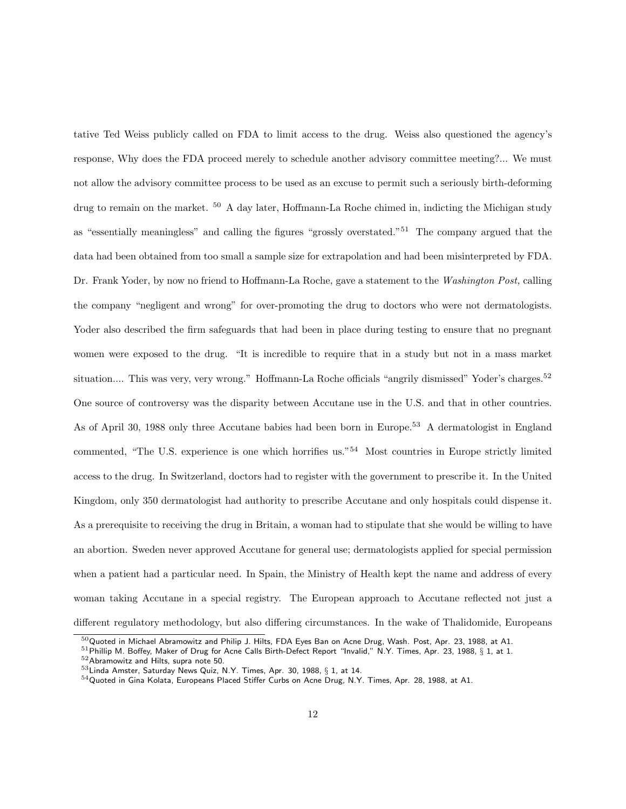tative Ted Weiss publicly called on FDA to limit access to the drug. Weiss also questioned the agency's response, Why does the FDA proceed merely to schedule another advisory committee meeting?... We must not allow the advisory committee process to be used as an excuse to permit such a seriously birth-deforming drug to remain on the market. <sup>50</sup> A day later, Hoffmann-La Roche chimed in, indicting the Michigan study as "essentially meaningless" and calling the figures "grossly overstated."<sup>51</sup> The company argued that the data had been obtained from too small a sample size for extrapolation and had been misinterpreted by FDA. Dr. Frank Yoder, by now no friend to Hoffmann-La Roche, gave a statement to the Washington Post, calling the company "negligent and wrong" for over-promoting the drug to doctors who were not dermatologists. Yoder also described the firm safeguards that had been in place during testing to ensure that no pregnant women were exposed to the drug. "It is incredible to require that in a study but not in a mass market situation.... This was very, very wrong." Hoffmann-La Roche officials "angrily dismissed" Yoder's charges.<sup>52</sup> One source of controversy was the disparity between Accutane use in the U.S. and that in other countries. As of April 30, 1988 only three Accutane babies had been born in Europe.<sup>53</sup> A dermatologist in England commented, "The U.S. experience is one which horrifies us."<sup>54</sup> Most countries in Europe strictly limited access to the drug. In Switzerland, doctors had to register with the government to prescribe it. In the United Kingdom, only 350 dermatologist had authority to prescribe Accutane and only hospitals could dispense it. As a prerequisite to receiving the drug in Britain, a woman had to stipulate that she would be willing to have an abortion. Sweden never approved Accutane for general use; dermatologists applied for special permission when a patient had a particular need. In Spain, the Ministry of Health kept the name and address of every woman taking Accutane in a special registry. The European approach to Accutane reflected not just a different regulatory methodology, but also differing circumstances. In the wake of Thalidomide, Europeans

 $50$ Quoted in Michael Abramowitz and Philip J. Hilts, FDA Eyes Ban on Acne Drug, Wash. Post, Apr. 23, 1988, at A1.

 $51$ Phillip M. Boffey, Maker of Drug for Acne Calls Birth-Defect Report "Invalid," N.Y. Times, Apr. 23, 1988, § 1, at 1.

<sup>52</sup>Abramowitz and Hilts, supra note 50.

<sup>53</sup>Linda Amster, Saturday News Quiz, N.Y. Times, Apr. 30, 1988, § 1, at 14.

<sup>54</sup>Quoted in Gina Kolata, Europeans Placed Stiffer Curbs on Acne Drug, N.Y. Times, Apr. 28, 1988, at A1.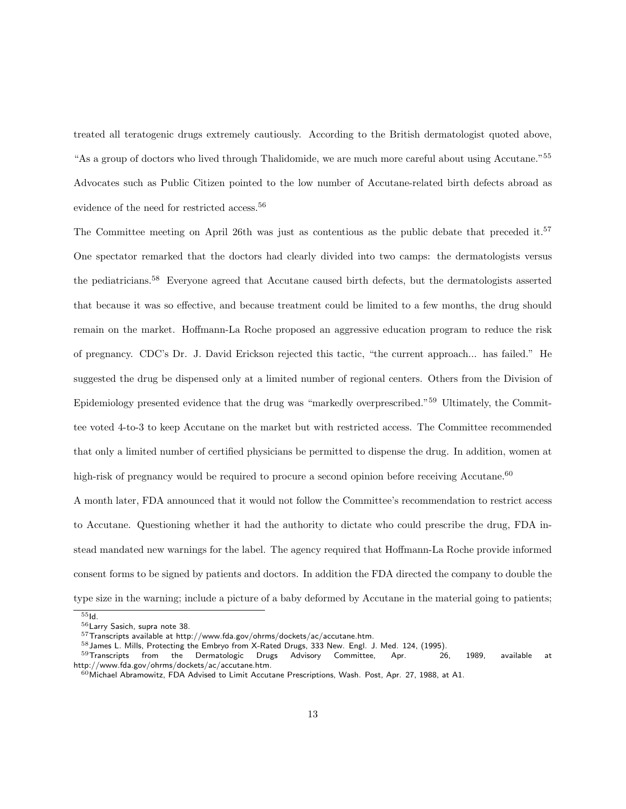treated all teratogenic drugs extremely cautiously. According to the British dermatologist quoted above, "As a group of doctors who lived through Thalidomide, we are much more careful about using Accutane."<sup>55</sup> Advocates such as Public Citizen pointed to the low number of Accutane-related birth defects abroad as evidence of the need for restricted access.<sup>56</sup>

The Committee meeting on April 26th was just as contentious as the public debate that preceded it.<sup>57</sup> One spectator remarked that the doctors had clearly divided into two camps: the dermatologists versus the pediatricians.<sup>58</sup> Everyone agreed that Accutane caused birth defects, but the dermatologists asserted that because it was so effective, and because treatment could be limited to a few months, the drug should remain on the market. Hoffmann-La Roche proposed an aggressive education program to reduce the risk of pregnancy. CDC's Dr. J. David Erickson rejected this tactic, "the current approach... has failed." He suggested the drug be dispensed only at a limited number of regional centers. Others from the Division of Epidemiology presented evidence that the drug was "markedly overprescribed."<sup>59</sup> Ultimately, the Committee voted 4-to-3 to keep Accutane on the market but with restricted access. The Committee recommended that only a limited number of certified physicians be permitted to dispense the drug. In addition, women at high-risk of pregnancy would be required to procure a second opinion before receiving Accutane.<sup>60</sup> A month later, FDA announced that it would not follow the Committee's recommendation to restrict access

to Accutane. Questioning whether it had the authority to dictate who could prescribe the drug, FDA instead mandated new warnings for the label. The agency required that Hoffmann-La Roche provide informed consent forms to be signed by patients and doctors. In addition the FDA directed the company to double the type size in the warning; include a picture of a baby deformed by Accutane in the material going to patients;

 $55I<sub>d</sub>$ 

<sup>56</sup>Larry Sasich, supra note 38.

 $57$ Transcripts available at http://www.fda.gov/ohrms/dockets/ac/accutane.htm.

 $58$  James L. Mills, Protecting the Embryo from X-Rated Drugs, 333 New. Engl. J. Med. 124, (1995).

 $59$ Transcripts from the Dermatologic Drugs Advisory Committee, Apr. 26, 1989, available at http://www.fda.gov/ohrms/dockets/ac/accutane.htm.

 $^{60}$ Michael Abramowitz, FDA Advised to Limit Accutane Prescriptions, Wash. Post, Apr. 27, 1988, at A1.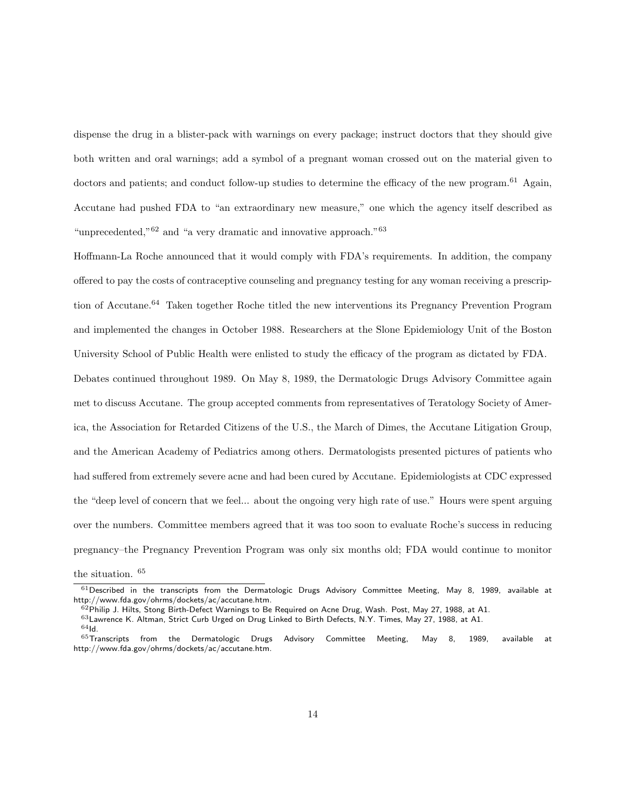dispense the drug in a blister-pack with warnings on every package; instruct doctors that they should give both written and oral warnings; add a symbol of a pregnant woman crossed out on the material given to doctors and patients; and conduct follow-up studies to determine the efficacy of the new program.<sup>61</sup> Again, Accutane had pushed FDA to "an extraordinary new measure," one which the agency itself described as "unprecedented," $62$  and "a very dramatic and innovative approach." $63$ 

Hoffmann-La Roche announced that it would comply with FDA's requirements. In addition, the company offered to pay the costs of contraceptive counseling and pregnancy testing for any woman receiving a prescription of Accutane.<sup>64</sup> Taken together Roche titled the new interventions its Pregnancy Prevention Program and implemented the changes in October 1988. Researchers at the Slone Epidemiology Unit of the Boston University School of Public Health were enlisted to study the efficacy of the program as dictated by FDA.

Debates continued throughout 1989. On May 8, 1989, the Dermatologic Drugs Advisory Committee again met to discuss Accutane. The group accepted comments from representatives of Teratology Society of America, the Association for Retarded Citizens of the U.S., the March of Dimes, the Accutane Litigation Group, and the American Academy of Pediatrics among others. Dermatologists presented pictures of patients who had suffered from extremely severe acne and had been cured by Accutane. Epidemiologists at CDC expressed the "deep level of concern that we feel... about the ongoing very high rate of use." Hours were spent arguing over the numbers. Committee members agreed that it was too soon to evaluate Roche's success in reducing pregnancy–the Pregnancy Prevention Program was only six months old; FDA would continue to monitor

the situation. <sup>65</sup>

 $61$  Described in the transcripts from the Dermatologic Drugs Advisory Committee Meeting, May 8, 1989, available at http://www.fda.gov/ohrms/dockets/ac/accutane.htm.

 $^{62}$ Philip J. Hilts, Stong Birth-Defect Warnings to Be Required on Acne Drug, Wash. Post, May 27, 1988, at A1.

 $^{63}$ Lawrence K. Altman, Strict Curb Urged on Drug Linked to Birth Defects, N.Y. Times, May 27, 1988, at A1.

 $64$ Id.

 $^{65}$ Transcripts from the Dermatologic Drugs Advisory Committee Meeting, May 8, 1989, available at http://www.fda.gov/ohrms/dockets/ac/accutane.htm.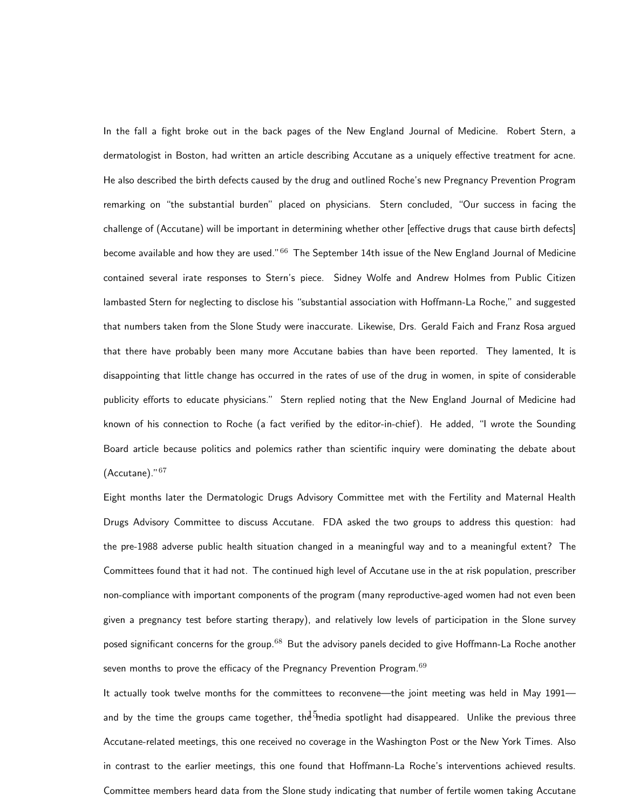In the fall a fight broke out in the back pages of the New England Journal of Medicine. Robert Stern, a dermatologist in Boston, had written an article describing Accutane as a uniquely effective treatment for acne. He also described the birth defects caused by the drug and outlined Roche's new Pregnancy Prevention Program remarking on "the substantial burden" placed on physicians. Stern concluded, "Our success in facing the challenge of (Accutane) will be important in determining whether other [effective drugs that cause birth defects] become available and how they are used."<sup>66</sup> The September 14th issue of the New England Journal of Medicine contained several irate responses to Stern's piece. Sidney Wolfe and Andrew Holmes from Public Citizen lambasted Stern for neglecting to disclose his "substantial association with Hoffmann-La Roche," and suggested that numbers taken from the Slone Study were inaccurate. Likewise, Drs. Gerald Faich and Franz Rosa argued that there have probably been many more Accutane babies than have been reported. They lamented, It is disappointing that little change has occurred in the rates of use of the drug in women, in spite of considerable publicity efforts to educate physicians." Stern replied noting that the New England Journal of Medicine had known of his connection to Roche (a fact verified by the editor-in-chief). He added, "I wrote the Sounding Board article because politics and polemics rather than scientific inquiry were dominating the debate about (Accutane)."<sup>67</sup>

Eight months later the Dermatologic Drugs Advisory Committee met with the Fertility and Maternal Health Drugs Advisory Committee to discuss Accutane. FDA asked the two groups to address this question: had the pre-1988 adverse public health situation changed in a meaningful way and to a meaningful extent? The Committees found that it had not. The continued high level of Accutane use in the at risk population, prescriber non-compliance with important components of the program (many reproductive-aged women had not even been given a pregnancy test before starting therapy), and relatively low levels of participation in the Slone survey posed significant concerns for the group.<sup>68</sup> But the advisory panels decided to give Hoffmann-La Roche another seven months to prove the efficacy of the Pregnancy Prevention Program.<sup>69</sup>

It actually took twelve months for the committees to reconvene—the joint meeting was held in May 1991 and by the time the groups came together, th $\overline{\mathrm{e}}^5$ media spotlight had disappeared. Unlike the previous three Accutane-related meetings, this one received no coverage in the Washington Post or the New York Times. Also in contrast to the earlier meetings, this one found that Hoffmann-La Roche's interventions achieved results. Committee members heard data from the Slone study indicating that number of fertile women taking Accutane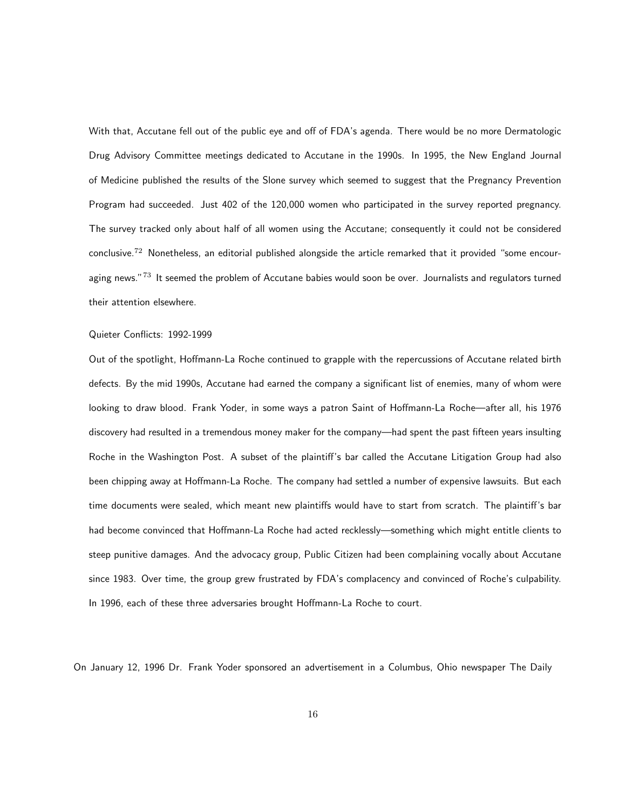With that, Accutane fell out of the public eye and off of FDA's agenda. There would be no more Dermatologic Drug Advisory Committee meetings dedicated to Accutane in the 1990s. In 1995, the New England Journal of Medicine published the results of the Slone survey which seemed to suggest that the Pregnancy Prevention Program had succeeded. Just 402 of the 120,000 women who participated in the survey reported pregnancy. The survey tracked only about half of all women using the Accutane; consequently it could not be considered conclusive.<sup>72</sup> Nonetheless, an editorial published alongside the article remarked that it provided "some encouraging news."<sup>73</sup> It seemed the problem of Accutane babies would soon be over. Journalists and regulators turned their attention elsewhere.

#### Quieter Conflicts: 1992-1999

Out of the spotlight, Hoffmann-La Roche continued to grapple with the repercussions of Accutane related birth defects. By the mid 1990s, Accutane had earned the company a significant list of enemies, many of whom were looking to draw blood. Frank Yoder, in some ways a patron Saint of Hoffmann-La Roche—after all, his 1976 discovery had resulted in a tremendous money maker for the company—had spent the past fifteen years insulting Roche in the Washington Post. A subset of the plaintiff's bar called the Accutane Litigation Group had also been chipping away at Hoffmann-La Roche. The company had settled a number of expensive lawsuits. But each time documents were sealed, which meant new plaintiffs would have to start from scratch. The plaintiff's bar had become convinced that Hoffmann-La Roche had acted recklessly—something which might entitle clients to steep punitive damages. And the advocacy group, Public Citizen had been complaining vocally about Accutane since 1983. Over time, the group grew frustrated by FDA's complacency and convinced of Roche's culpability. In 1996, each of these three adversaries brought Hoffmann-La Roche to court.

On January 12, 1996 Dr. Frank Yoder sponsored an advertisement in a Columbus, Ohio newspaper The Daily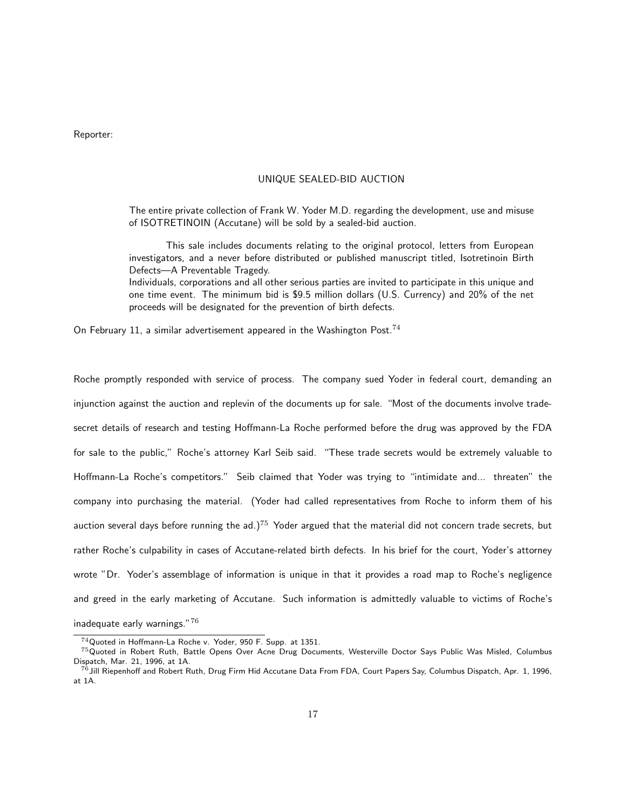Reporter:

### UNIQUE SEALED-BID AUCTION

The entire private collection of Frank W. Yoder M.D. regarding the development, use and misuse of ISOTRETINOIN (Accutane) will be sold by a sealed-bid auction.

This sale includes documents relating to the original protocol, letters from European investigators, and a never before distributed or published manuscript titled, Isotretinoin Birth Defects—A Preventable Tragedy.

Individuals, corporations and all other serious parties are invited to participate in this unique and one time event. The minimum bid is \$9.5 million dollars (U.S. Currency) and 20% of the net proceeds will be designated for the prevention of birth defects.

On February 11, a similar advertisement appeared in the Washington Post.<sup>74</sup>

Roche promptly responded with service of process. The company sued Yoder in federal court, demanding an injunction against the auction and replevin of the documents up for sale. "Most of the documents involve tradesecret details of research and testing Hoffmann-La Roche performed before the drug was approved by the FDA for sale to the public," Roche's attorney Karl Seib said. "These trade secrets would be extremely valuable to Hoffmann-La Roche's competitors." Seib claimed that Yoder was trying to "intimidate and... threaten" the company into purchasing the material. (Yoder had called representatives from Roche to inform them of his auction several days before running the ad.)<sup>75</sup> Yoder argued that the material did not concern trade secrets, but rather Roche's culpability in cases of Accutane-related birth defects. In his brief for the court, Yoder's attorney wrote "Dr. Yoder's assemblage of information is unique in that it provides a road map to Roche's negligence and greed in the early marketing of Accutane. Such information is admittedly valuable to victims of Roche's

inadequate early warnings."<sup>76</sup>

<sup>74</sup>Quoted in Hoffmann-La Roche v. Yoder, 950 F. Supp. at 1351.

 $^{75}$ Quoted in Robert Ruth, Battle Opens Over Acne Drug Documents, Westerville Doctor Says Public Was Misled, Columbus Dispatch, Mar. 21, 1996, at 1A.

 $^{76}$ Jill Riepenhoff and Robert Ruth, Drug Firm Hid Accutane Data From FDA, Court Papers Say, Columbus Dispatch, Apr. 1, 1996, at 1A.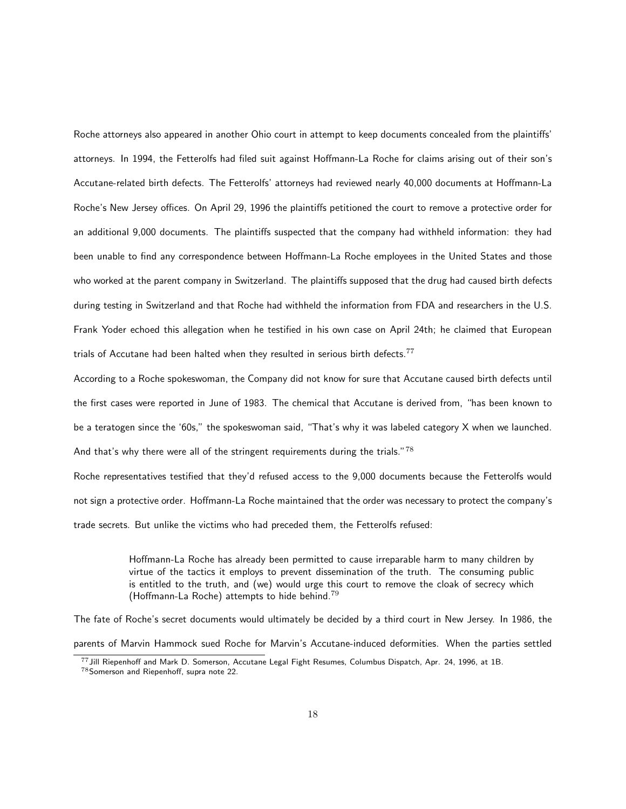Roche attorneys also appeared in another Ohio court in attempt to keep documents concealed from the plaintiffs' attorneys. In 1994, the Fetterolfs had filed suit against Hoffmann-La Roche for claims arising out of their son's Accutane-related birth defects. The Fetterolfs' attorneys had reviewed nearly 40,000 documents at Hoffmann-La Roche's New Jersey offices. On April 29, 1996 the plaintiffs petitioned the court to remove a protective order for an additional 9,000 documents. The plaintiffs suspected that the company had withheld information: they had been unable to find any correspondence between Hoffmann-La Roche employees in the United States and those who worked at the parent company in Switzerland. The plaintiffs supposed that the drug had caused birth defects during testing in Switzerland and that Roche had withheld the information from FDA and researchers in the U.S. Frank Yoder echoed this allegation when he testified in his own case on April 24th; he claimed that European trials of Accutane had been halted when they resulted in serious birth defects.<sup>77</sup>

According to a Roche spokeswoman, the Company did not know for sure that Accutane caused birth defects until the first cases were reported in June of 1983. The chemical that Accutane is derived from, "has been known to be a teratogen since the '60s," the spokeswoman said, "That's why it was labeled category X when we launched. And that's why there were all of the stringent requirements during the trials."<sup>78</sup>

Roche representatives testified that they'd refused access to the 9,000 documents because the Fetterolfs would not sign a protective order. Hoffmann-La Roche maintained that the order was necessary to protect the company's trade secrets. But unlike the victims who had preceded them, the Fetterolfs refused:

> Hoffmann-La Roche has already been permitted to cause irreparable harm to many children by virtue of the tactics it employs to prevent dissemination of the truth. The consuming public is entitled to the truth, and (we) would urge this court to remove the cloak of secrecy which (Hoffmann-La Roche) attempts to hide behind.<sup>79</sup>

The fate of Roche's secret documents would ultimately be decided by a third court in New Jersey. In 1986, the parents of Marvin Hammock sued Roche for Marvin's Accutane-induced deformities. When the parties settled

<sup>77</sup>Jill Riepenhoff and Mark D. Somerson, Accutane Legal Fight Resumes, Columbus Dispatch, Apr. 24, 1996, at 1B. <sup>78</sup>Somerson and Riepenhoff, supra note 22.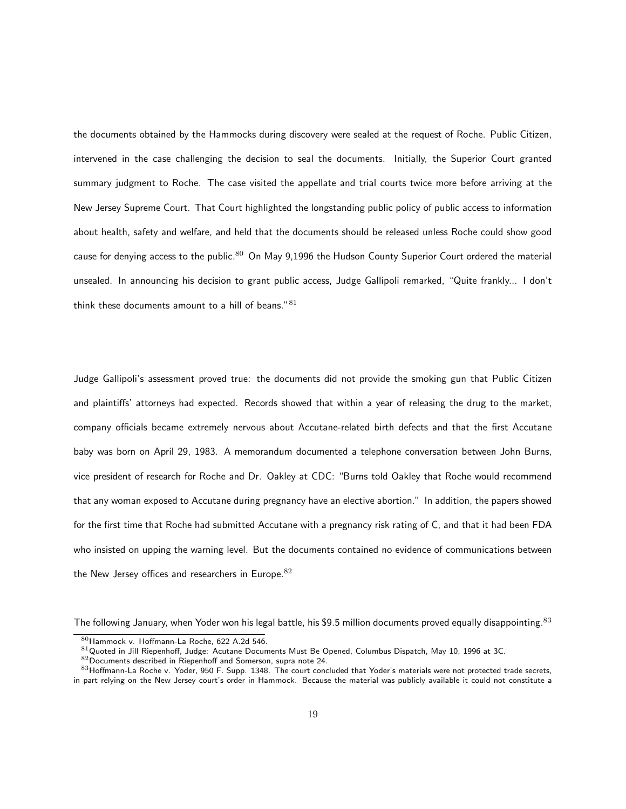the documents obtained by the Hammocks during discovery were sealed at the request of Roche. Public Citizen, intervened in the case challenging the decision to seal the documents. Initially, the Superior Court granted summary judgment to Roche. The case visited the appellate and trial courts twice more before arriving at the New Jersey Supreme Court. That Court highlighted the longstanding public policy of public access to information about health, safety and welfare, and held that the documents should be released unless Roche could show good cause for denying access to the public.<sup>80</sup> On May 9,1996 the Hudson County Superior Court ordered the material unsealed. In announcing his decision to grant public access, Judge Gallipoli remarked, "Quite frankly... I don't think these documents amount to a hill of beans." $81$ 

Judge Gallipoli's assessment proved true: the documents did not provide the smoking gun that Public Citizen and plaintiffs' attorneys had expected. Records showed that within a year of releasing the drug to the market, company officials became extremely nervous about Accutane-related birth defects and that the first Accutane baby was born on April 29, 1983. A memorandum documented a telephone conversation between John Burns, vice president of research for Roche and Dr. Oakley at CDC: "Burns told Oakley that Roche would recommend that any woman exposed to Accutane during pregnancy have an elective abortion." In addition, the papers showed for the first time that Roche had submitted Accutane with a pregnancy risk rating of C, and that it had been FDA who insisted on upping the warning level. But the documents contained no evidence of communications between the New Jersey offices and researchers in Europe. $82$ 

The following January, when Yoder won his legal battle, his \$9.5 million documents proved equally disappointing.<sup>83</sup>

<sup>80</sup>Hammock v. Hoffmann-La Roche, 622 A.2d 546.

 $81$ Quoted in Jill Riepenhoff, Judge: Acutane Documents Must Be Opened, Columbus Dispatch, May 10, 1996 at 3C.

<sup>82</sup>Documents described in Riepenhoff and Somerson, supra note 24.

<sup>83</sup>Hoffmann-La Roche v. Yoder, 950 F. Supp. 1348. The court concluded that Yoder's materials were not protected trade secrets, in part relying on the New Jersey court's order in Hammock. Because the material was publicly available it could not constitute a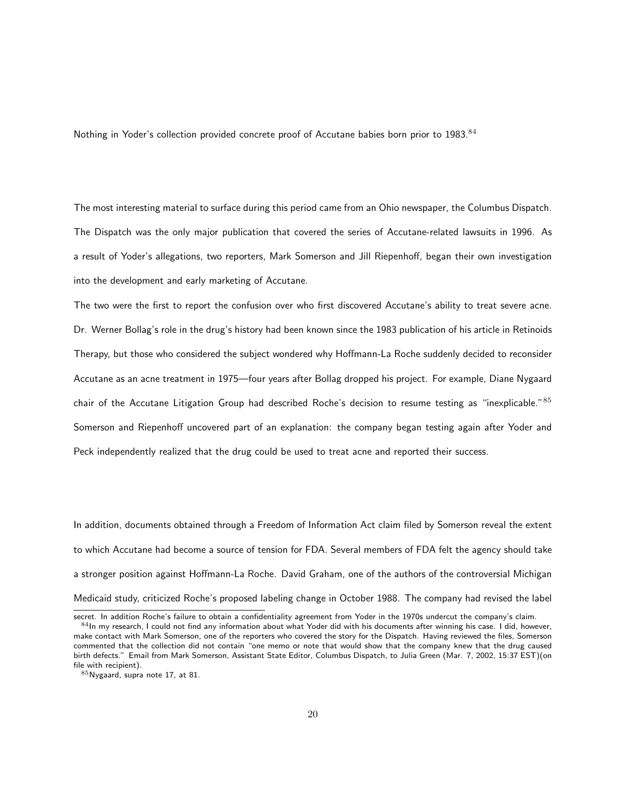Nothing in Yoder's collection provided concrete proof of Accutane babies born prior to 1983.<sup>84</sup>

The most interesting material to surface during this period came from an Ohio newspaper, the Columbus Dispatch. The Dispatch was the only major publication that covered the series of Accutane-related lawsuits in 1996. As a result of Yoder's allegations, two reporters, Mark Somerson and Jill Riepenhoff, began their own investigation into the development and early marketing of Accutane.

The two were the first to report the confusion over who first discovered Accutane's ability to treat severe acne. Dr. Werner Bollag's role in the drug's history had been known since the 1983 publication of his article in Retinoids Therapy, but those who considered the subject wondered why Hoffmann-La Roche suddenly decided to reconsider Accutane as an acne treatment in 1975—four years after Bollag dropped his project. For example, Diane Nygaard chair of the Accutane Litigation Group had described Roche's decision to resume testing as "inexplicable."<sup>85</sup> Somerson and Riepenhoff uncovered part of an explanation: the company began testing again after Yoder and Peck independently realized that the drug could be used to treat acne and reported their success.

In addition, documents obtained through a Freedom of Information Act claim filed by Somerson reveal the extent to which Accutane had become a source of tension for FDA. Several members of FDA felt the agency should take a stronger position against Hoffmann-La Roche. David Graham, one of the authors of the controversial Michigan Medicaid study, criticized Roche's proposed labeling change in October 1988. The company had revised the label

secret. In addition Roche's failure to obtain a confidentiality agreement from Yoder in the 1970s undercut the company's claim.

 $84$ In my research, I could not find any information about what Yoder did with his documents after winning his case. I did, however, make contact with Mark Somerson, one of the reporters who covered the story for the Dispatch. Having reviewed the files, Somerson commented that the collection did not contain "one memo or note that would show that the company knew that the drug caused birth defects." Email from Mark Somerson, Assistant State Editor, Columbus Dispatch, to Julia Green (Mar. 7, 2002, 15:37 EST)(on file with recipient).

<sup>85</sup>Nygaard, supra note 17, at 81.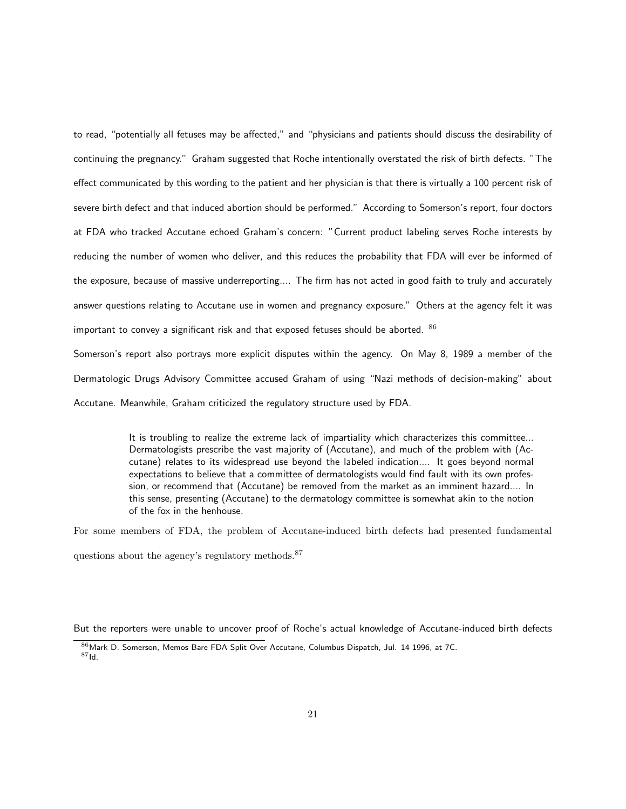to read, "potentially all fetuses may be affected," and "physicians and patients should discuss the desirability of continuing the pregnancy." Graham suggested that Roche intentionally overstated the risk of birth defects. "The effect communicated by this wording to the patient and her physician is that there is virtually a 100 percent risk of severe birth defect and that induced abortion should be performed." According to Somerson's report, four doctors at FDA who tracked Accutane echoed Graham's concern: "Current product labeling serves Roche interests by reducing the number of women who deliver, and this reduces the probability that FDA will ever be informed of the exposure, because of massive underreporting.... The firm has not acted in good faith to truly and accurately answer questions relating to Accutane use in women and pregnancy exposure." Others at the agency felt it was important to convey a significant risk and that exposed fetuses should be aborted.  $86$ 

Somerson's report also portrays more explicit disputes within the agency. On May 8, 1989 a member of the Dermatologic Drugs Advisory Committee accused Graham of using "Nazi methods of decision-making" about Accutane. Meanwhile, Graham criticized the regulatory structure used by FDA.

> It is troubling to realize the extreme lack of impartiality which characterizes this committee... Dermatologists prescribe the vast majority of (Accutane), and much of the problem with (Accutane) relates to its widespread use beyond the labeled indication.... It goes beyond normal expectations to believe that a committee of dermatologists would find fault with its own profession, or recommend that (Accutane) be removed from the market as an imminent hazard.... In this sense, presenting (Accutane) to the dermatology committee is somewhat akin to the notion of the fox in the henhouse.

For some members of FDA, the problem of Accutane-induced birth defects had presented fundamental questions about the agency's regulatory methods.<sup>87</sup>

But the reporters were unable to uncover proof of Roche's actual knowledge of Accutane-induced birth defects

<sup>86</sup> Mark D. Somerson, Memos Bare FDA Split Over Accutane, Columbus Dispatch, Jul. 14 1996, at 7C. <sup>87</sup>Id.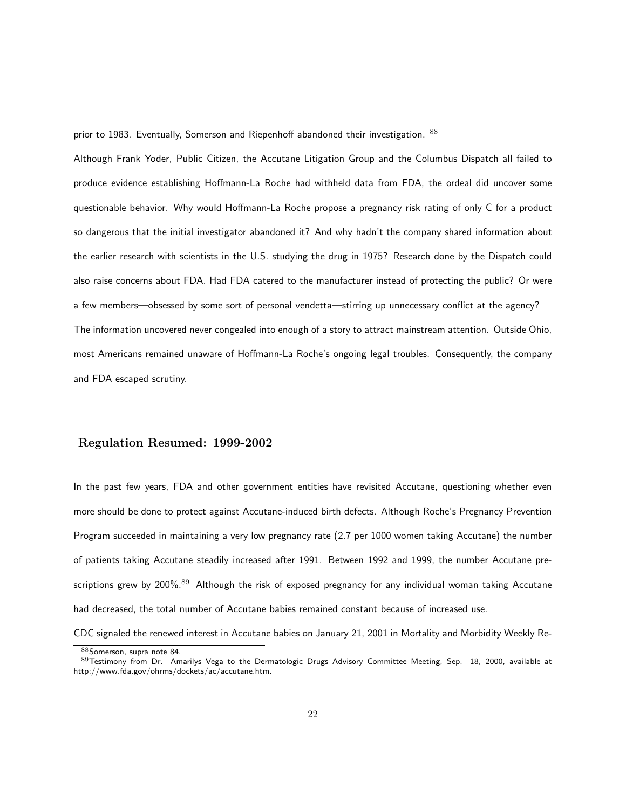prior to 1983. Eventually, Somerson and Riepenhoff abandoned their investigation. 88

Although Frank Yoder, Public Citizen, the Accutane Litigation Group and the Columbus Dispatch all failed to produce evidence establishing Hoffmann-La Roche had withheld data from FDA, the ordeal did uncover some questionable behavior. Why would Hoffmann-La Roche propose a pregnancy risk rating of only C for a product so dangerous that the initial investigator abandoned it? And why hadn't the company shared information about the earlier research with scientists in the U.S. studying the drug in 1975? Research done by the Dispatch could also raise concerns about FDA. Had FDA catered to the manufacturer instead of protecting the public? Or were a few members—obsessed by some sort of personal vendetta—stirring up unnecessary conflict at the agency? The information uncovered never congealed into enough of a story to attract mainstream attention. Outside Ohio, most Americans remained unaware of Hoffmann-La Roche's ongoing legal troubles. Consequently, the company and FDA escaped scrutiny.

## Regulation Resumed: 1999-2002

In the past few years, FDA and other government entities have revisited Accutane, questioning whether even more should be done to protect against Accutane-induced birth defects. Although Roche's Pregnancy Prevention Program succeeded in maintaining a very low pregnancy rate (2.7 per 1000 women taking Accutane) the number of patients taking Accutane steadily increased after 1991. Between 1992 and 1999, the number Accutane prescriptions grew by 200%.<sup>89</sup> Although the risk of exposed pregnancy for any individual woman taking Accutane had decreased, the total number of Accutane babies remained constant because of increased use.

CDC signaled the renewed interest in Accutane babies on January 21, 2001 in Mortality and Morbidity Weekly Re-

<sup>88</sup> Somerson, supra note 84.

<sup>89</sup>Testimony from Dr. Amarilys Vega to the Dermatologic Drugs Advisory Committee Meeting, Sep. 18, 2000, available at http://www.fda.gov/ohrms/dockets/ac/accutane.htm.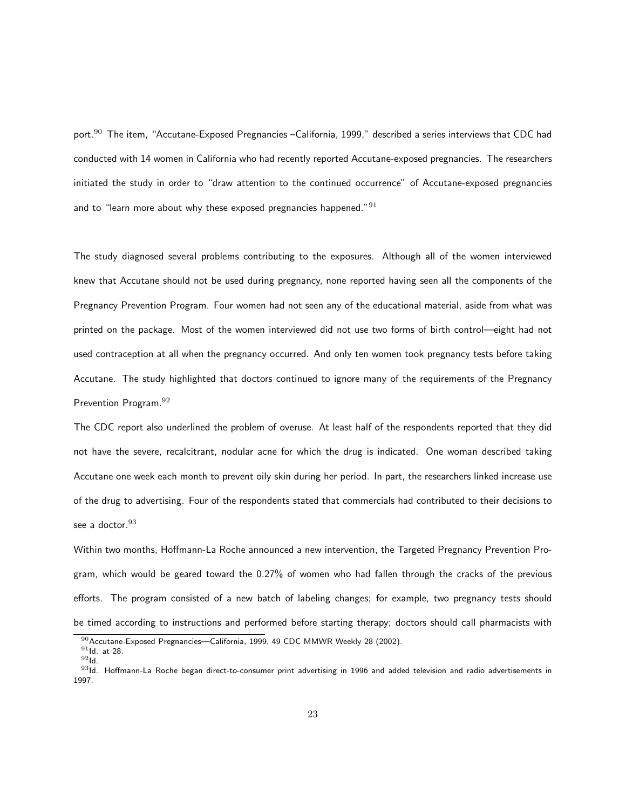port.<sup>90</sup> The item, "Accutane-Exposed Pregnancies –California, 1999," described a series interviews that CDC had conducted with 14 women in California who had recently reported Accutane-exposed pregnancies. The researchers initiated the study in order to "draw attention to the continued occurrence" of Accutane-exposed pregnancies and to "learn more about why these exposed pregnancies happened."  $91$ 

The study diagnosed several problems contributing to the exposures. Although all of the women interviewed knew that Accutane should not be used during pregnancy, none reported having seen all the components of the Pregnancy Prevention Program. Four women had not seen any of the educational material, aside from what was printed on the package. Most of the women interviewed did not use two forms of birth control—eight had not used contraception at all when the pregnancy occurred. And only ten women took pregnancy tests before taking Accutane. The study highlighted that doctors continued to ignore many of the requirements of the Pregnancy Prevention Program.<sup>92</sup>

The CDC report also underlined the problem of overuse. At least half of the respondents reported that they did not have the severe, recalcitrant, nodular acne for which the drug is indicated. One woman described taking Accutane one week each month to prevent oily skin during her period. In part, the researchers linked increase use of the drug to advertising. Four of the respondents stated that commercials had contributed to their decisions to see a doctor. 93

Within two months, Hoffmann-La Roche announced a new intervention, the Targeted Pregnancy Prevention Program, which would be geared toward the 0.27% of women who had fallen through the cracks of the previous efforts. The program consisted of a new batch of labeling changes; for example, two pregnancy tests should be timed according to instructions and performed before starting therapy; doctors should call pharmacists with

<sup>90</sup> Accutane-Exposed Pregnancies—California, 1999, 49 CDC MMWR Weekly 28 (2002).

 $91$ Id. at 28.

 $92$ Id.

 $93$ Id. Hoffmann-La Roche began direct-to-consumer print advertising in 1996 and added television and radio advertisements in 1997.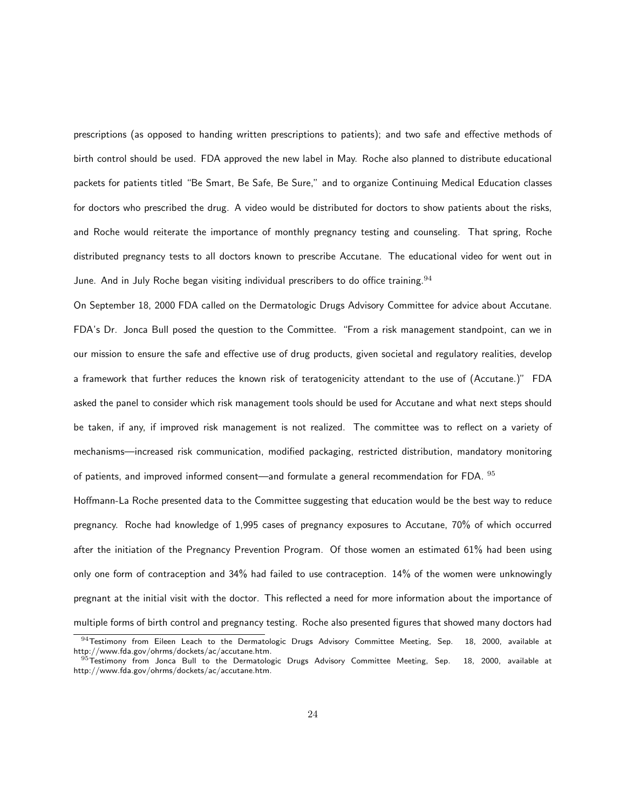prescriptions (as opposed to handing written prescriptions to patients); and two safe and effective methods of birth control should be used. FDA approved the new label in May. Roche also planned to distribute educational packets for patients titled "Be Smart, Be Safe, Be Sure," and to organize Continuing Medical Education classes for doctors who prescribed the drug. A video would be distributed for doctors to show patients about the risks, and Roche would reiterate the importance of monthly pregnancy testing and counseling. That spring, Roche distributed pregnancy tests to all doctors known to prescribe Accutane. The educational video for went out in June. And in July Roche began visiting individual prescribers to do office training.  $94$ 

On September 18, 2000 FDA called on the Dermatologic Drugs Advisory Committee for advice about Accutane. FDA's Dr. Jonca Bull posed the question to the Committee. "From a risk management standpoint, can we in our mission to ensure the safe and effective use of drug products, given societal and regulatory realities, develop a framework that further reduces the known risk of teratogenicity attendant to the use of (Accutane.)" FDA asked the panel to consider which risk management tools should be used for Accutane and what next steps should be taken, if any, if improved risk management is not realized. The committee was to reflect on a variety of mechanisms—increased risk communication, modified packaging, restricted distribution, mandatory monitoring of patients, and improved informed consent—and formulate a general recommendation for FDA. <sup>95</sup>

Hoffmann-La Roche presented data to the Committee suggesting that education would be the best way to reduce pregnancy. Roche had knowledge of 1,995 cases of pregnancy exposures to Accutane, 70% of which occurred after the initiation of the Pregnancy Prevention Program. Of those women an estimated 61% had been using only one form of contraception and 34% had failed to use contraception. 14% of the women were unknowingly pregnant at the initial visit with the doctor. This reflected a need for more information about the importance of multiple forms of birth control and pregnancy testing. Roche also presented figures that showed many doctors had  $94$ Testimony from Eileen Leach to the Dermatologic Drugs Advisory Committee Meeting, Sep. 18, 2000, available at

http://www.fda.gov/ohrms/dockets/ac/accutane.htm.  $95$ Testimony from Jonca Bull to the Dermatologic Drugs Advisory Committee Meeting, Sep. 18, 2000, available at http://www.fda.gov/ohrms/dockets/ac/accutane.htm.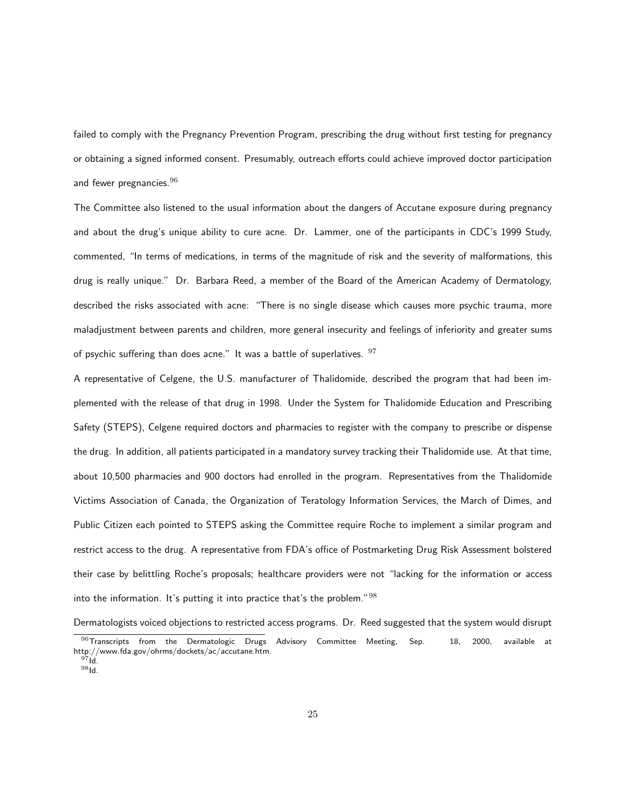failed to comply with the Pregnancy Prevention Program, prescribing the drug without first testing for pregnancy or obtaining a signed informed consent. Presumably, outreach efforts could achieve improved doctor participation and fewer pregnancies. $96$ 

The Committee also listened to the usual information about the dangers of Accutane exposure during pregnancy and about the drug's unique ability to cure acne. Dr. Lammer, one of the participants in CDC's 1999 Study, commented, "In terms of medications, in terms of the magnitude of risk and the severity of malformations, this drug is really unique." Dr. Barbara Reed, a member of the Board of the American Academy of Dermatology, described the risks associated with acne: "There is no single disease which causes more psychic trauma, more maladjustment between parents and children, more general insecurity and feelings of inferiority and greater sums of psychic suffering than does acne." It was a battle of superlatives.  $97$ 

A representative of Celgene, the U.S. manufacturer of Thalidomide, described the program that had been implemented with the release of that drug in 1998. Under the System for Thalidomide Education and Prescribing Safety (STEPS), Celgene required doctors and pharmacies to register with the company to prescribe or dispense the drug. In addition, all patients participated in a mandatory survey tracking their Thalidomide use. At that time, about 10,500 pharmacies and 900 doctors had enrolled in the program. Representatives from the Thalidomide Victims Association of Canada, the Organization of Teratology Information Services, the March of Dimes, and Public Citizen each pointed to STEPS asking the Committee require Roche to implement a similar program and restrict access to the drug. A representative from FDA's office of Postmarketing Drug Risk Assessment bolstered their case by belittling Roche's proposals; healthcare providers were not "lacking for the information or access into the information. It's putting it into practice that's the problem." $98$ 

Dermatologists voiced objections to restricted access programs. Dr. Reed suggested that the system would disrupt  $96$ Transcripts from the Dermatologic Drugs Advisory Committee Meeting, Sep. 18, 2000, available at http://www.fda.gov/ohrms/dockets/ac/accutane.htm.  $97 \dot{\mathrm{Id}}$ .

<sup>98</sup>Id.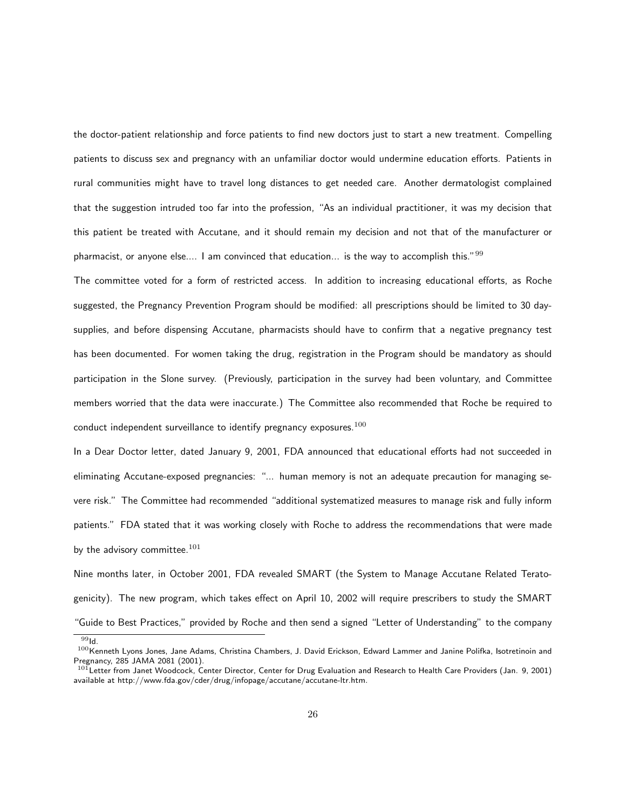the doctor-patient relationship and force patients to find new doctors just to start a new treatment. Compelling patients to discuss sex and pregnancy with an unfamiliar doctor would undermine education efforts. Patients in rural communities might have to travel long distances to get needed care. Another dermatologist complained that the suggestion intruded too far into the profession, "As an individual practitioner, it was my decision that this patient be treated with Accutane, and it should remain my decision and not that of the manufacturer or pharmacist, or anyone else.... I am convinced that education... is the way to accomplish this." $99$ 

The committee voted for a form of restricted access. In addition to increasing educational efforts, as Roche suggested, the Pregnancy Prevention Program should be modified: all prescriptions should be limited to 30 daysupplies, and before dispensing Accutane, pharmacists should have to confirm that a negative pregnancy test has been documented. For women taking the drug, registration in the Program should be mandatory as should participation in the Slone survey. (Previously, participation in the survey had been voluntary, and Committee members worried that the data were inaccurate.) The Committee also recommended that Roche be required to conduct independent surveillance to identify pregnancy exposures. $100$ 

In a Dear Doctor letter, dated January 9, 2001, FDA announced that educational efforts had not succeeded in eliminating Accutane-exposed pregnancies: "... human memory is not an adequate precaution for managing severe risk." The Committee had recommended "additional systematized measures to manage risk and fully inform patients." FDA stated that it was working closely with Roche to address the recommendations that were made by the advisory committee. $101$ 

Nine months later, in October 2001, FDA revealed SMART (the System to Manage Accutane Related Teratogenicity). The new program, which takes effect on April 10, 2002 will require prescribers to study the SMART "Guide to Best Practices," provided by Roche and then send a signed "Letter of Understanding" to the company

 $\overline{99}$ Id.

<sup>100</sup> Kenneth Lyons Jones, Jane Adams, Christina Chambers, J. David Erickson, Edward Lammer and Janine Polifka, Isotretinoin and Pregnancy, 285 JAMA 2081 (2001).

<sup>101</sup> Letter from Janet Woodcock, Center Director, Center for Drug Evaluation and Research to Health Care Providers (Jan. 9, 2001) available at http://www.fda.gov/cder/drug/infopage/accutane/accutane-ltr.htm.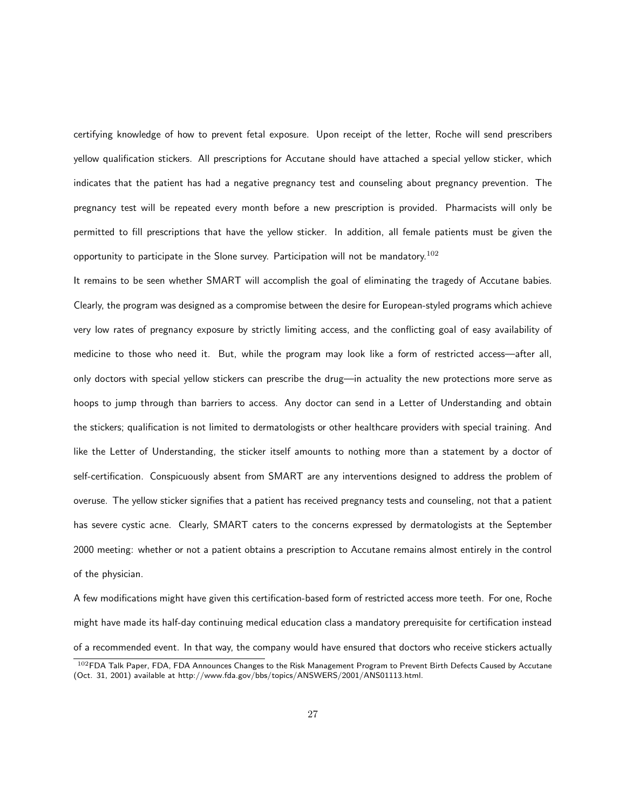certifying knowledge of how to prevent fetal exposure. Upon receipt of the letter, Roche will send prescribers yellow qualification stickers. All prescriptions for Accutane should have attached a special yellow sticker, which indicates that the patient has had a negative pregnancy test and counseling about pregnancy prevention. The pregnancy test will be repeated every month before a new prescription is provided. Pharmacists will only be permitted to fill prescriptions that have the yellow sticker. In addition, all female patients must be given the opportunity to participate in the Slone survey. Participation will not be mandatory.<sup>102</sup>

It remains to be seen whether SMART will accomplish the goal of eliminating the tragedy of Accutane babies. Clearly, the program was designed as a compromise between the desire for European-styled programs which achieve very low rates of pregnancy exposure by strictly limiting access, and the conflicting goal of easy availability of medicine to those who need it. But, while the program may look like a form of restricted access—after all, only doctors with special yellow stickers can prescribe the drug—in actuality the new protections more serve as hoops to jump through than barriers to access. Any doctor can send in a Letter of Understanding and obtain the stickers; qualification is not limited to dermatologists or other healthcare providers with special training. And like the Letter of Understanding, the sticker itself amounts to nothing more than a statement by a doctor of self-certification. Conspicuously absent from SMART are any interventions designed to address the problem of overuse. The yellow sticker signifies that a patient has received pregnancy tests and counseling, not that a patient has severe cystic acne. Clearly, SMART caters to the concerns expressed by dermatologists at the September 2000 meeting: whether or not a patient obtains a prescription to Accutane remains almost entirely in the control of the physician.

A few modifications might have given this certification-based form of restricted access more teeth. For one, Roche might have made its half-day continuing medical education class a mandatory prerequisite for certification instead of a recommended event. In that way, the company would have ensured that doctors who receive stickers actually

<sup>102</sup>FDA Talk Paper, FDA, FDA Announces Changes to the Risk Management Program to Prevent Birth Defects Caused by Accutane (Oct. 31, 2001) available at http://www.fda.gov/bbs/topics/ANSWERS/2001/ANS01113.html.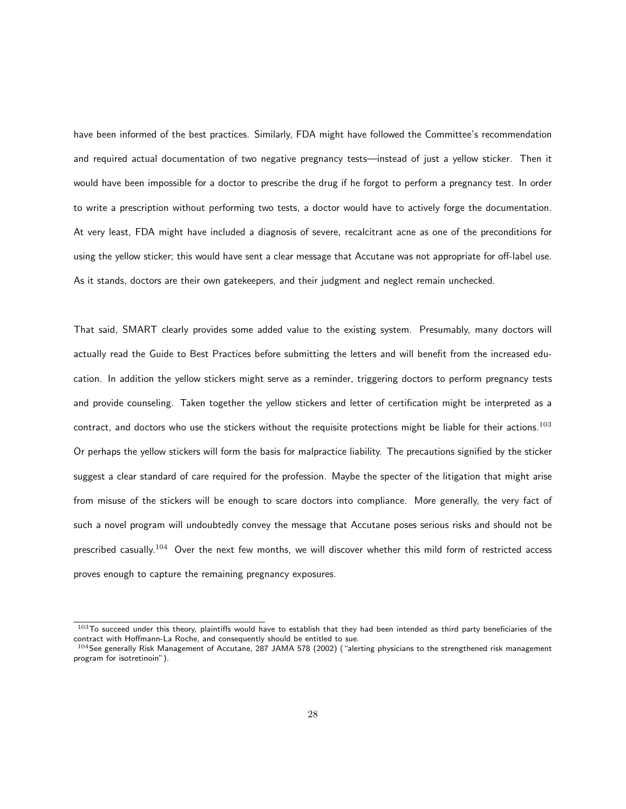have been informed of the best practices. Similarly, FDA might have followed the Committee's recommendation and required actual documentation of two negative pregnancy tests—instead of just a yellow sticker. Then it would have been impossible for a doctor to prescribe the drug if he forgot to perform a pregnancy test. In order to write a prescription without performing two tests, a doctor would have to actively forge the documentation. At very least, FDA might have included a diagnosis of severe, recalcitrant acne as one of the preconditions for using the yellow sticker; this would have sent a clear message that Accutane was not appropriate for off-label use. As it stands, doctors are their own gatekeepers, and their judgment and neglect remain unchecked.

That said, SMART clearly provides some added value to the existing system. Presumably, many doctors will actually read the Guide to Best Practices before submitting the letters and will benefit from the increased education. In addition the yellow stickers might serve as a reminder, triggering doctors to perform pregnancy tests and provide counseling. Taken together the yellow stickers and letter of certification might be interpreted as a contract, and doctors who use the stickers without the requisite protections might be liable for their actions.<sup>103</sup> Or perhaps the yellow stickers will form the basis for malpractice liability. The precautions signified by the sticker suggest a clear standard of care required for the profession. Maybe the specter of the litigation that might arise from misuse of the stickers will be enough to scare doctors into compliance. More generally, the very fact of such a novel program will undoubtedly convey the message that Accutane poses serious risks and should not be prescribed casually.<sup>104</sup> Over the next few months, we will discover whether this mild form of restricted access proves enough to capture the remaining pregnancy exposures.

 $103$ To succeed under this theory, plaintiffs would have to establish that they had been intended as third party beneficiaries of the contract with Hoffmann-La Roche, and consequently should be entitled to sue.

<sup>104</sup> See generally Risk Management of Accutane, 287 JAMA 578 (2002) ("alerting physicians to the strengthened risk management program for isotretinoin").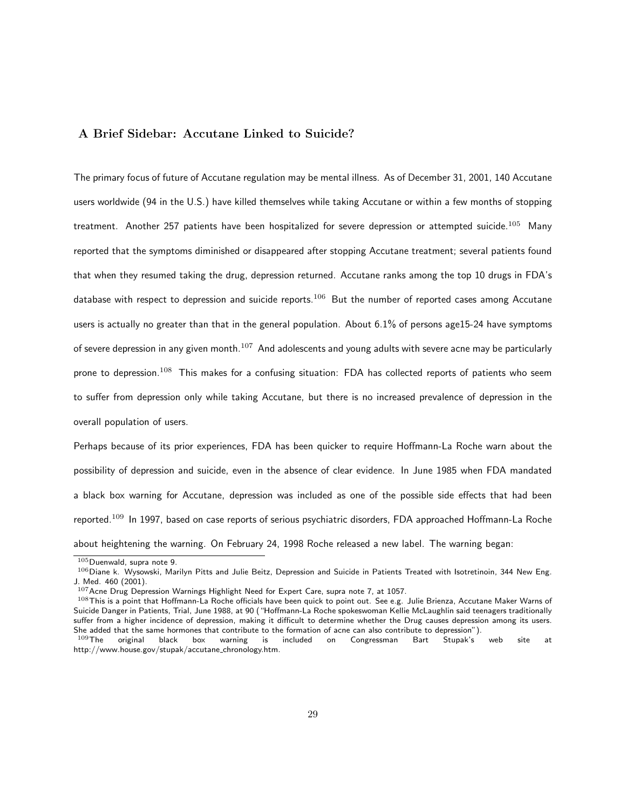## A Brief Sidebar: Accutane Linked to Suicide?

The primary focus of future of Accutane regulation may be mental illness. As of December 31, 2001, 140 Accutane users worldwide (94 in the U.S.) have killed themselves while taking Accutane or within a few months of stopping treatment. Another 257 patients have been hospitalized for severe depression or attempted suicide.<sup>105</sup> Many reported that the symptoms diminished or disappeared after stopping Accutane treatment; several patients found that when they resumed taking the drug, depression returned. Accutane ranks among the top 10 drugs in FDA's database with respect to depression and suicide reports.<sup>106</sup> But the number of reported cases among Accutane users is actually no greater than that in the general population. About 6.1% of persons age15-24 have symptoms of severe depression in any given month. $107$  And adolescents and young adults with severe acne may be particularly prone to depression.<sup>108</sup> This makes for a confusing situation: FDA has collected reports of patients who seem to suffer from depression only while taking Accutane, but there is no increased prevalence of depression in the overall population of users.

Perhaps because of its prior experiences, FDA has been quicker to require Hoffmann-La Roche warn about the possibility of depression and suicide, even in the absence of clear evidence. In June 1985 when FDA mandated a black box warning for Accutane, depression was included as one of the possible side effects that had been reported.<sup>109</sup> In 1997, based on case reports of serious psychiatric disorders, FDA approached Hoffmann-La Roche about heightening the warning. On February 24, 1998 Roche released a new label. The warning began:

 $105$ Duenwald, supra note 9.

 $106$  Diane k. Wysowski, Marilyn Pitts and Julie Beitz, Depression and Suicide in Patients Treated with Isotretinoin, 344 New Eng. J. Med. 460 (2001).

 $107$  Acne Drug Depression Warnings Highlight Need for Expert Care, supra note 7, at 1057.

 $108$ This is a point that Hoffmann-La Roche officials have been quick to point out. See e.g. Julie Brienza, Accutane Maker Warns of Suicide Danger in Patients, Trial, June 1988, at 90 ("Hoffmann-La Roche spokeswoman Kellie McLaughlin said teenagers traditionally suffer from a higher incidence of depression, making it difficult to determine whether the Drug causes depression among its users. She added that the same hormones that contribute to the formation of acne can also contribute to depression").<br><sup>109</sup>The original black box warning is included on Congressman Bart Stupak's

original black box warning is included on Congressman Bart Stupak's web site at http://www.house.gov/stupak/accutane chronology.htm.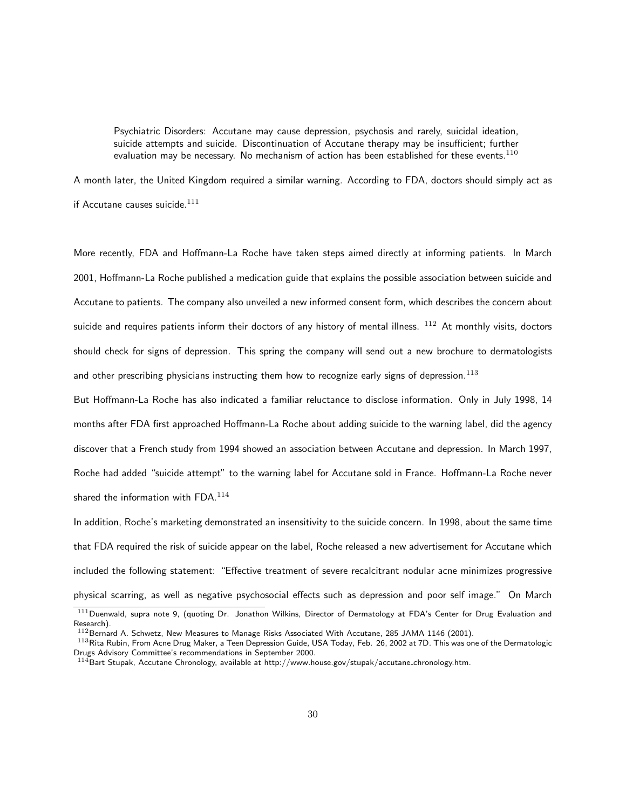Psychiatric Disorders: Accutane may cause depression, psychosis and rarely, suicidal ideation, suicide attempts and suicide. Discontinuation of Accutane therapy may be insufficient; further evaluation may be necessary. No mechanism of action has been established for these events. $^{110}$ 

A month later, the United Kingdom required a similar warning. According to FDA, doctors should simply act as if Accutane causes suicide. $111$ 

More recently, FDA and Hoffmann-La Roche have taken steps aimed directly at informing patients. In March 2001, Hoffmann-La Roche published a medication guide that explains the possible association between suicide and Accutane to patients. The company also unveiled a new informed consent form, which describes the concern about suicide and requires patients inform their doctors of any history of mental illness.  $^{112}$  At monthly visits, doctors should check for signs of depression. This spring the company will send out a new brochure to dermatologists and other prescribing physicians instructing them how to recognize early signs of depression.<sup>113</sup>

But Hoffmann-La Roche has also indicated a familiar reluctance to disclose information. Only in July 1998, 14 months after FDA first approached Hoffmann-La Roche about adding suicide to the warning label, did the agency discover that a French study from 1994 showed an association between Accutane and depression. In March 1997, Roche had added "suicide attempt" to the warning label for Accutane sold in France. Hoffmann-La Roche never shared the information with  $FDA.<sup>114</sup>$ 

In addition, Roche's marketing demonstrated an insensitivity to the suicide concern. In 1998, about the same time that FDA required the risk of suicide appear on the label, Roche released a new advertisement for Accutane which included the following statement: "Effective treatment of severe recalcitrant nodular acne minimizes progressive physical scarring, as well as negative psychosocial effects such as depression and poor self image." On March

 $111$ Duenwald, supra note 9, (quoting Dr. Jonathon Wilkins, Director of Dermatology at FDA's Center for Drug Evaluation and Research).

<sup>112</sup> Bernard A. Schwetz, New Measures to Manage Risks Associated With Accutane, 285 JAMA 1146 (2001).

<sup>113</sup> Rita Rubin, From Acne Drug Maker, a Teen Depression Guide, USA Today, Feb. 26, 2002 at 7D. This was one of the Dermatologic Drugs Advisory Committee's recommendations in September 2000.

 $114$ Bart Stupak, Accutane Chronology, available at http://www.house.gov/stupak/accutane\_chronology.htm.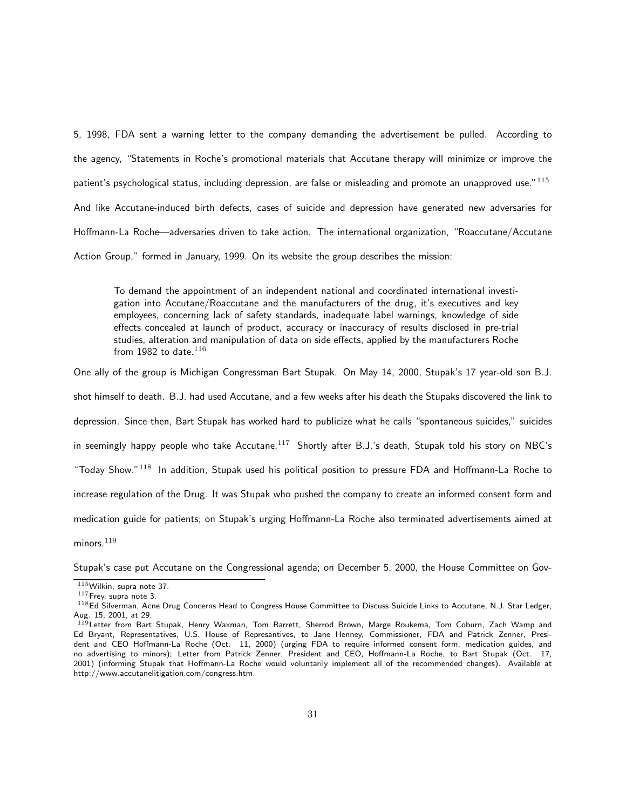5, 1998, FDA sent a warning letter to the company demanding the advertisement be pulled. According to the agency, "Statements in Roche's promotional materials that Accutane therapy will minimize or improve the patient's psychological status, including depression, are false or misleading and promote an unapproved use."<sup>115</sup> And like Accutane-induced birth defects, cases of suicide and depression have generated new adversaries for Hoffmann-La Roche—adversaries driven to take action. The international organization, "Roaccutane/Accutane Action Group," formed in January, 1999. On its website the group describes the mission:

To demand the appointment of an independent national and coordinated international investigation into Accutane/Roaccutane and the manufacturers of the drug, it's executives and key employees, concerning lack of safety standards, inadequate label warnings, knowledge of side effects concealed at launch of product, accuracy or inaccuracy of results disclosed in pre-trial studies, alteration and manipulation of data on side effects, applied by the manufacturers Roche from 1982 to date. $116$ 

One ally of the group is Michigan Congressman Bart Stupak. On May 14, 2000, Stupak's 17 year-old son B.J.

shot himself to death. B.J. had used Accutane, and a few weeks after his death the Stupaks discovered the link to depression. Since then, Bart Stupak has worked hard to publicize what he calls "spontaneous suicides," suicides in seemingly happy people who take Accutane.<sup>117</sup> Shortly after B.J.'s death, Stupak told his story on NBC's "Today Show."<sup>118</sup> In addition, Stupak used his political position to pressure FDA and Hoffmann-La Roche to increase regulation of the Drug. It was Stupak who pushed the company to create an informed consent form and medication guide for patients; on Stupak's urging Hoffmann-La Roche also terminated advertisements aimed at

minors. $119$ 

Stupak's case put Accutane on the Congressional agenda; on December 5, 2000, the House Committee on Gov-

 $115$ Wilkin, supra note 37.

 $117$ Frey, supra note 3.

<sup>118</sup>Ed Silverman, Acne Drug Concerns Head to Congress House Committee to Discuss Suicide Links to Accutane, N.J. Star Ledger, Aug. 15, 2001, at 29.

<sup>&</sup>lt;sup>119</sup>Letter from Bart Stupak, Henry Waxman, Tom Barrett, Sherrod Brown, Marge Roukema, Tom Coburn, Zach Wamp and Ed Bryant, Representatives, U.S. House of Represantives, to Jane Henney, Commissioner, FDA and Patrick Zenner, President and CEO Hoffmann-La Roche (Oct. 11, 2000) (urging FDA to require informed consent form, medication guides, and no advertising to minors); Letter from Patrick Zenner, President and CEO, Hoffmann-La Roche, to Bart Stupak (Oct. 17, 2001) (informing Stupak that Hoffmann-La Roche would voluntarily implement all of the recommended changes). Available at http://www.accutanelitigation.com/congress.htm.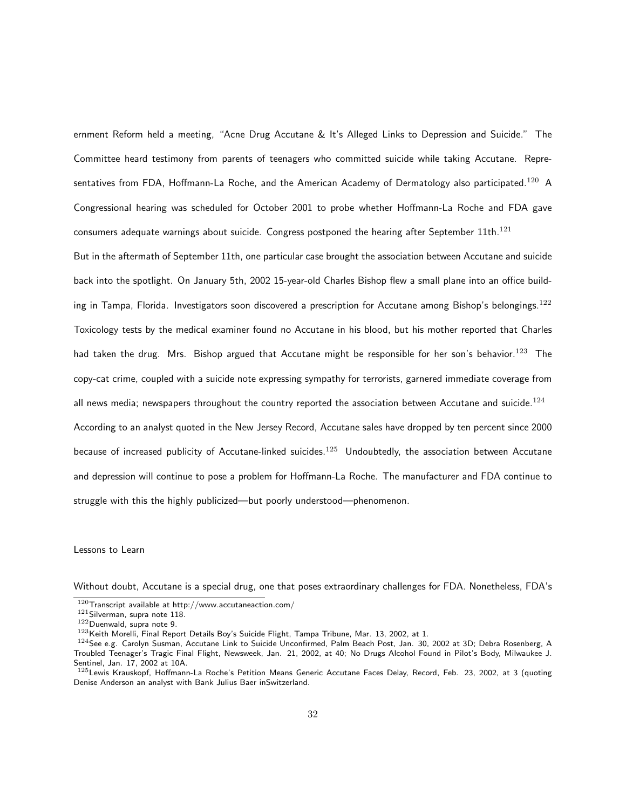ernment Reform held a meeting, "Acne Drug Accutane & It's Alleged Links to Depression and Suicide." The Committee heard testimony from parents of teenagers who committed suicide while taking Accutane. Representatives from FDA, Hoffmann-La Roche, and the American Academy of Dermatology also participated.<sup>120</sup> A Congressional hearing was scheduled for October 2001 to probe whether Hoffmann-La Roche and FDA gave consumers adequate warnings about suicide. Congress postponed the hearing after September 11th.<sup>121</sup>

But in the aftermath of September 11th, one particular case brought the association between Accutane and suicide back into the spotlight. On January 5th, 2002 15-year-old Charles Bishop flew a small plane into an office building in Tampa, Florida. Investigators soon discovered a prescription for Accutane among Bishop's belongings.<sup>122</sup> Toxicology tests by the medical examiner found no Accutane in his blood, but his mother reported that Charles had taken the drug. Mrs. Bishop argued that Accutane might be responsible for her son's behavior.<sup>123</sup> The copy-cat crime, coupled with a suicide note expressing sympathy for terrorists, garnered immediate coverage from all news media; newspapers throughout the country reported the association between Accutane and suicide.<sup>124</sup> According to an analyst quoted in the New Jersey Record, Accutane sales have dropped by ten percent since 2000 because of increased publicity of Accutane-linked suicides.<sup>125</sup> Undoubtedly, the association between Accutane and depression will continue to pose a problem for Hoffmann-La Roche. The manufacturer and FDA continue to struggle with this the highly publicized—but poorly understood—phenomenon.

Lessons to Learn

Without doubt, Accutane is a special drug, one that poses extraordinary challenges for FDA. Nonetheless, FDA's

 $120$ Transcript available at http://www.accutaneaction.com/

<sup>121</sup> Silverman, supra note 118.

<sup>122</sup>Duenwald, supra note 9.

<sup>&</sup>lt;sup>123</sup>Keith Morelli, Final Report Details Boy's Suicide Flight, Tampa Tribune, Mar. 13, 2002, at 1.

<sup>124</sup> See e.g. Carolyn Susman, Accutane Link to Suicide Unconfirmed, Palm Beach Post, Jan. 30, 2002 at 3D; Debra Rosenberg, A Troubled Teenager's Tragic Final Flight, Newsweek, Jan. 21, 2002, at 40; No Drugs Alcohol Found in Pilot's Body, Milwaukee J. Sentinel, Jan. 17, 2002 at 10A.

<sup>125</sup>Lewis Krauskopf, Hoffmann-La Roche's Petition Means Generic Accutane Faces Delay, Record, Feb. 23, 2002, at 3 (quoting Denise Anderson an analyst with Bank Julius Baer inSwitzerland.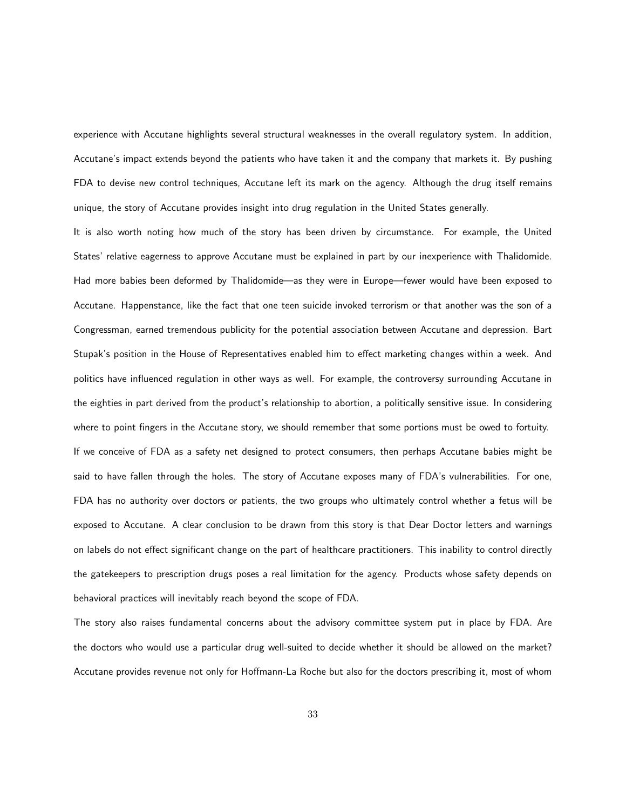experience with Accutane highlights several structural weaknesses in the overall regulatory system. In addition, Accutane's impact extends beyond the patients who have taken it and the company that markets it. By pushing FDA to devise new control techniques, Accutane left its mark on the agency. Although the drug itself remains unique, the story of Accutane provides insight into drug regulation in the United States generally.

It is also worth noting how much of the story has been driven by circumstance. For example, the United States' relative eagerness to approve Accutane must be explained in part by our inexperience with Thalidomide. Had more babies been deformed by Thalidomide—as they were in Europe—fewer would have been exposed to Accutane. Happenstance, like the fact that one teen suicide invoked terrorism or that another was the son of a Congressman, earned tremendous publicity for the potential association between Accutane and depression. Bart Stupak's position in the House of Representatives enabled him to effect marketing changes within a week. And politics have influenced regulation in other ways as well. For example, the controversy surrounding Accutane in the eighties in part derived from the product's relationship to abortion, a politically sensitive issue. In considering where to point fingers in the Accutane story, we should remember that some portions must be owed to fortuity. If we conceive of FDA as a safety net designed to protect consumers, then perhaps Accutane babies might be said to have fallen through the holes. The story of Accutane exposes many of FDA's vulnerabilities. For one, FDA has no authority over doctors or patients, the two groups who ultimately control whether a fetus will be exposed to Accutane. A clear conclusion to be drawn from this story is that Dear Doctor letters and warnings on labels do not effect significant change on the part of healthcare practitioners. This inability to control directly the gatekeepers to prescription drugs poses a real limitation for the agency. Products whose safety depends on behavioral practices will inevitably reach beyond the scope of FDA.

The story also raises fundamental concerns about the advisory committee system put in place by FDA. Are the doctors who would use a particular drug well-suited to decide whether it should be allowed on the market? Accutane provides revenue not only for Hoffmann-La Roche but also for the doctors prescribing it, most of whom